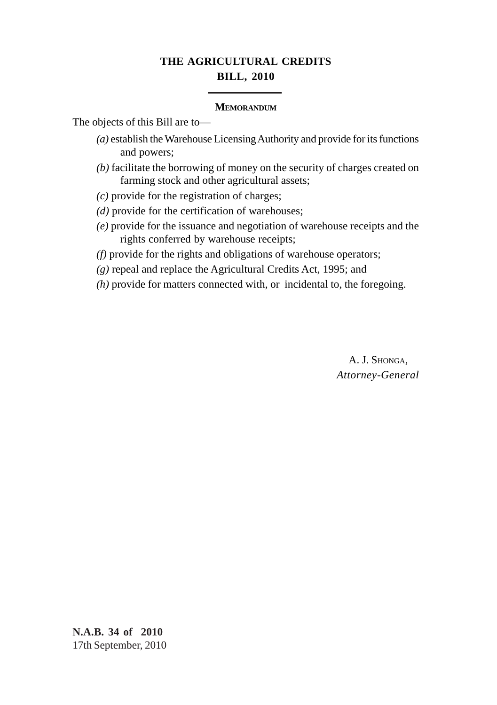# **THE AGRICULTURAL CREDITS BILL, 2010**

#### **MEMORANDUM**

The objects of this Bill are to—

- *(a)* establish the Warehouse Licensing Authority and provide for its functions and powers;
- *(b)* facilitate the borrowing of money on the security of charges created on farming stock and other agricultural assets;
- *(c)* provide for the registration of charges;
- *(d)* provide for the certification of warehouses;
- *(e)* provide for the issuance and negotiation of warehouse receipts and the rights conferred by warehouse receipts;
- *(f)* provide for the rights and obligations of warehouse operators;
- *(g)* repeal and replace the Agricultural Credits Act, 1995; and
- *(h)* provide for matters connected with, or incidental to, the foregoing.

A. J. SHONGA, *Attorney-General*

**N.A.B. 34 of 2010** 17th September, 2010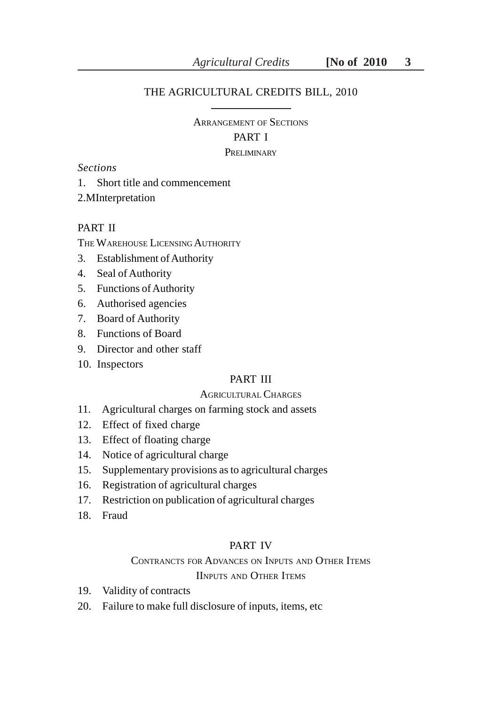### THE AGRICULTURAL CREDITS BILL, 2010

# ARRANGEMENT OF SECTIONS PART I PRELIMINARY

#### *Sections*

1. Short title and commencement

2.MInterpretation

# PART II

THE WAREHOUSE LICENSING AUTHORITY

- 3. Establishment of Authority
- 4. Seal of Authority
- 5. Functions of Authority
- 6. Authorised agencies
- 7. Board of Authority
- 8. Functions of Board
- 9. Director and other staff
- 10. Inspectors

### PART III

#### AGRICULTURAL CHARGES

- 11. Agricultural charges on farming stock and assets
- 12. Effect of fixed charge
- 13. Effect of floating charge
- 14. Notice of agricultural charge
- 15. Supplementary provisions as to agricultural charges
- 16. Registration of agricultural charges
- 17. Restriction on publication of agricultural charges
- 18. Fraud

#### PART IV

# CONTRANCTS FOR ADVANCES ON INPUTS AND OTHER ITEMS

# IINPUTS AND OTHER ITEMS

- 19. Validity of contracts
- 20. Failure to make full disclosure of inputs, items, etc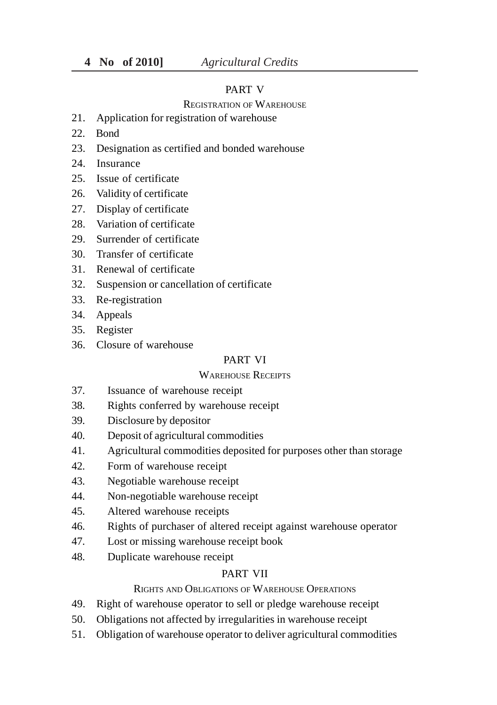#### PART V

#### REGISTRATION OF WAREHOUSE

- 21. Application for registration of warehouse
- 22. Bond
- 23. Designation as certified and bonded warehouse
- 24. Insurance
- 25. Issue of certificate
- 26. Validity of certificate
- 27. Display of certificate
- 28. Variation of certificate
- 29. Surrender of certificate
- 30. Transfer of certificate
- 31. Renewal of certificate
- 32. Suspension or cancellation of certificate
- 33. Re-registration
- 34. Appeals
- 35. Register
- 36. Closure of warehouse

#### PART VI

# WAREHOUSE RECEIPTS

- 37. Issuance of warehouse receipt
- 38. Rights conferred by warehouse receipt
- 39. Disclosure by depositor
- 40. Deposit of agricultural commodities
- 41. Agricultural commodities deposited for purposes other than storage
- 42. Form of warehouse receipt
- 43. Negotiable warehouse receipt
- 44. Non-negotiable warehouse receipt
- 45. Altered warehouse receipts
- 46. Rights of purchaser of altered receipt against warehouse operator
- 47. Lost or missing warehouse receipt book
- 48. Duplicate warehouse receipt

#### PART VII

# RIGHTS AND OBLIGATIONS OF WAREHOUSE OPERATIONS

- 49. Right of warehouse operator to sell or pledge warehouse receipt
- 50. Obligations not affected by irregularities in warehouse receipt
- 51. Obligation of warehouse operator to deliver agricultural commodities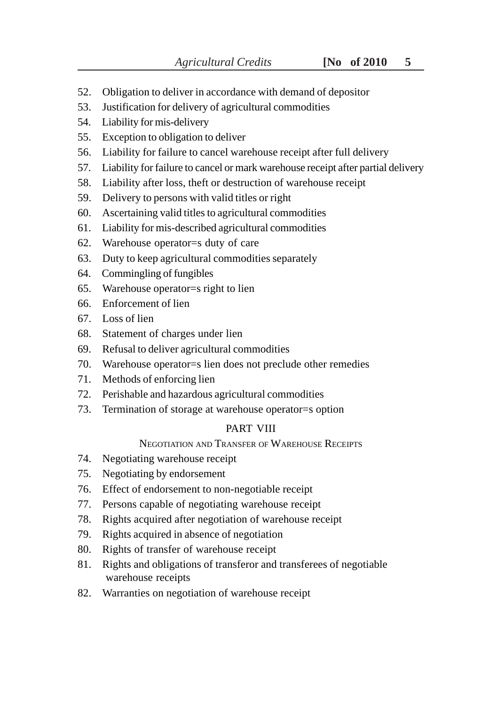- 52. Obligation to deliver in accordance with demand of depositor
- 53. Justification for delivery of agricultural commodities
- 54. Liability for mis-delivery
- 55. Exception to obligation to deliver
- 56. Liability for failure to cancel warehouse receipt after full delivery
- 57. Liability for failure to cancel or mark warehouse receipt after partial delivery
- 58. Liability after loss, theft or destruction of warehouse receipt
- 59. Delivery to persons with valid titles or right
- 60. Ascertaining valid titles to agricultural commodities
- 61. Liability for mis-described agricultural commodities
- 62. Warehouse operator=s duty of care
- 63. Duty to keep agricultural commodities separately
- 64. Commingling of fungibles
- 65. Warehouse operator=s right to lien
- 66. Enforcement of lien
- 67. Loss of lien
- 68. Statement of charges under lien
- 69. Refusal to deliver agricultural commodities
- 70. Warehouse operator=s lien does not preclude other remedies
- 71. Methods of enforcing lien
- 72. Perishable and hazardous agricultural commodities
- 73. Termination of storage at warehouse operator=s option

# PART VIII

# NEGOTIATION AND TRANSFER OF WAREHOUSE RECEIPTS

- 74. Negotiating warehouse receipt
- 75. Negotiating by endorsement
- 76. Effect of endorsement to non-negotiable receipt
- 77. Persons capable of negotiating warehouse receipt
- 78. Rights acquired after negotiation of warehouse receipt
- 79. Rights acquired in absence of negotiation
- 80. Rights of transfer of warehouse receipt
- 81. Rights and obligations of transferor and transferees of negotiable warehouse receipts
- 82. Warranties on negotiation of warehouse receipt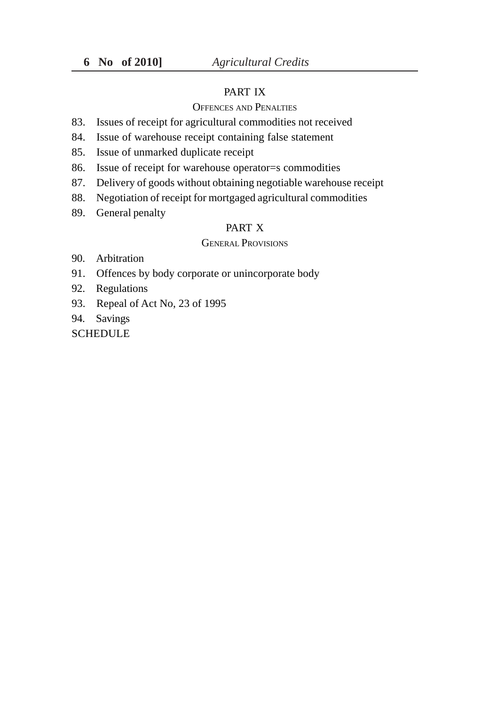# PART IX

#### OFFENCES AND PENALTIES

- 83. Issues of receipt for agricultural commodities not received
- 84. Issue of warehouse receipt containing false statement
- 85. Issue of unmarked duplicate receipt
- 86. Issue of receipt for warehouse operator=s commodities
- 87. Delivery of goods without obtaining negotiable warehouse receipt
- 88. Negotiation of receipt for mortgaged agricultural commodities
- 89. General penalty

# PART X

#### GENERAL PROVISIONS

- 90. Arbitration
- 91. Offences by body corporate or unincorporate body
- 92. Regulations
- 93. Repeal of Act No, 23 of 1995
- 94. Savings

**SCHEDULE**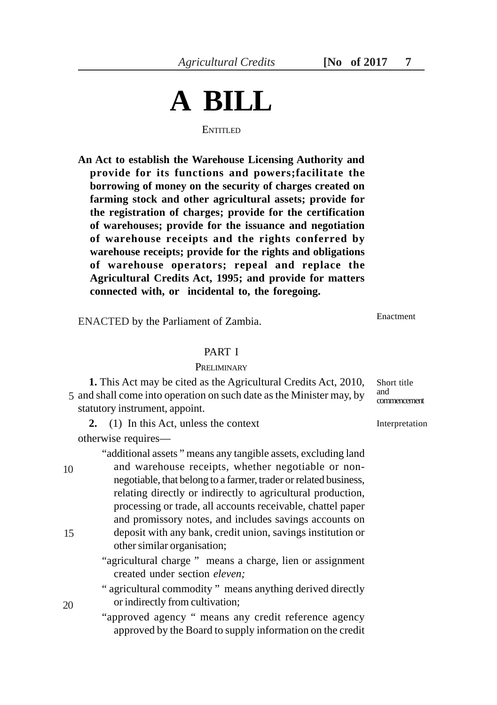# **A BILL ENTITLED**

**An Act to establish the Warehouse Licensing Authority and provide for its functions and powers;facilitate the borrowing of money on the security of charges created on farming stock and other agricultural assets; provide for the registration of charges; provide for the certification of warehouses; provide for the issuance and negotiation of warehouse receipts and the rights conferred by warehouse receipts; provide for the rights and obligations of warehouse operators; repeal and replace the Agricultural Credits Act, 1995; and provide for matters connected with, or incidental to, the foregoing.**

ENACTED by the Parliament of Zambia.

### PART I

#### **PRELIMINARY**

**1.** This Act may be cited as the Agricultural Credits Act, 2010, 5 and shall come into operation on such date as the Minister may, by  $\frac{and}{component}$ statutory instrument, appoint.

**2.** (1) In this Act, unless the context

otherwise requires—

"additional assets " means any tangible assets, excluding land and warehouse receipts, whether negotiable or nonnegotiable, that belong to a farmer, trader or related business, relating directly or indirectly to agricultural production, processing or trade, all accounts receivable, chattel paper and promissory notes, and includes savings accounts on deposit with any bank, credit union, savings institution or other similar organisation; 10 15

> "agricultural charge " means a charge, lien or assignment created under section *eleven;*

> " agricultural commodity " means anything derived directly or indirectly from cultivation;

> "approved agency " means any credit reference agency approved by the Board to supply information on the credit

Enactment

Short title and<br>commencement

Interpretation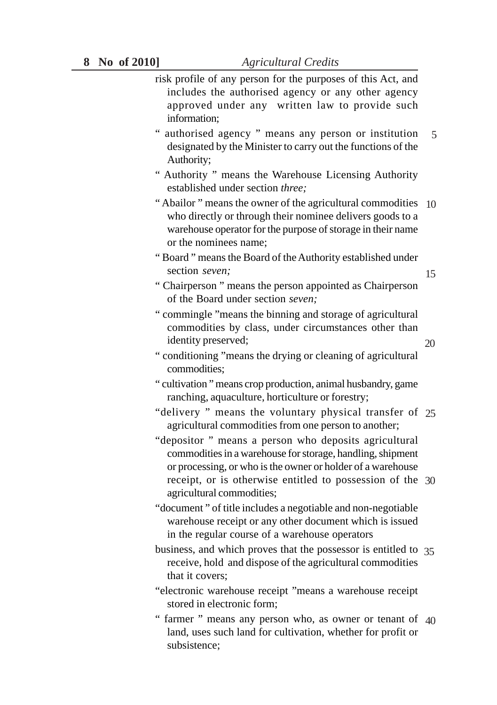- risk profile of any person for the purposes of this Act, and includes the authorised agency or any other agency approved under any written law to provide such information;
- " authorised agency " means any person or institution designated by the Minister to carry out the functions of the Authority; 5
- " Authority " means the Warehouse Licensing Authority established under section *three;*
- " Abailor " means the owner of the agricultural commodities 10 who directly or through their nominee delivers goods to a warehouse operator for the purpose of storage in their name or the nominees name;
- " Board " means the Board of the Authority established under section *seven;*
- " Chairperson " means the person appointed as Chairperson of the Board under section *seven;*
- " commingle "means the binning and storage of agricultural commodities by class, under circumstances other than identity preserved;
- 20

- " conditioning "means the drying or cleaning of agricultural commodities;
- " cultivation " means crop production, animal husbandry, game ranching, aquaculture, horticulture or forestry;
- "delivery " means the voluntary physical transfer of 25 agricultural commodities from one person to another;
- "depositor " means a person who deposits agricultural commodities in a warehouse for storage, handling, shipment or processing, or who is the owner or holder of a warehouse receipt, or is otherwise entitled to possession of the 30 agricultural commodities;
- "document " of title includes a negotiable and non-negotiable warehouse receipt or any other document which is issued in the regular course of a warehouse operators
- business, and which proves that the possessor is entitled to 35 receive, hold and dispose of the agricultural commodities that it covers;
- "electronic warehouse receipt "means a warehouse receipt stored in electronic form;
- " farmer " means any person who, as owner or tenant of 40 land, uses such land for cultivation, whether for profit or subsistence;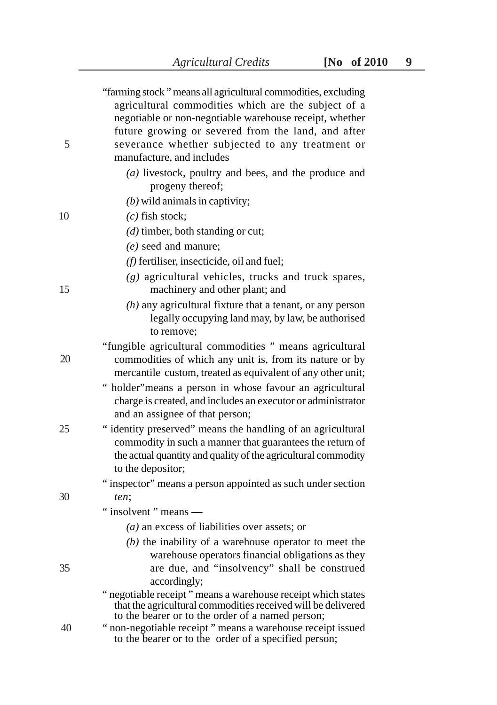|    | "farming stock" means all agricultural commodities, excluding<br>agricultural commodities which are the subject of a                                                                                         |  |
|----|--------------------------------------------------------------------------------------------------------------------------------------------------------------------------------------------------------------|--|
|    | negotiable or non-negotiable warehouse receipt, whether                                                                                                                                                      |  |
|    | future growing or severed from the land, and after                                                                                                                                                           |  |
| 5  | severance whether subjected to any treatment or                                                                                                                                                              |  |
|    | manufacture, and includes                                                                                                                                                                                    |  |
|    | $(a)$ livestock, poultry and bees, and the produce and<br>progeny thereof;                                                                                                                                   |  |
|    | $(b)$ wild animals in captivity;                                                                                                                                                                             |  |
| 10 | $(c)$ fish stock;                                                                                                                                                                                            |  |
|    | $(d)$ timber, both standing or cut;                                                                                                                                                                          |  |
|    | $(e)$ seed and manure;                                                                                                                                                                                       |  |
|    | $(f)$ fertiliser, insecticide, oil and fuel;                                                                                                                                                                 |  |
| 15 | $(g)$ agricultural vehicles, trucks and truck spares,<br>machinery and other plant; and                                                                                                                      |  |
|    | $(h)$ any agricultural fixture that a tenant, or any person<br>legally occupying land may, by law, be authorised<br>to remove;                                                                               |  |
| 20 | "fungible agricultural commodities" means agricultural<br>commodities of which any unit is, from its nature or by<br>mercantile custom, treated as equivalent of any other unit;                             |  |
|    | " holder" means a person in whose favour an agricultural<br>charge is created, and includes an executor or administrator<br>and an assignee of that person;                                                  |  |
| 25 | "identity preserved" means the handling of an agricultural<br>commodity in such a manner that guarantees the return of<br>the actual quantity and quality of the agricultural commodity<br>to the depositor; |  |
|    | "inspector" means a person appointed as such under section                                                                                                                                                   |  |
| 30 | ten;                                                                                                                                                                                                         |  |
|    | "insolvent" means -                                                                                                                                                                                          |  |
|    | $(a)$ an excess of liabilities over assets; or                                                                                                                                                               |  |
|    | $(b)$ the inability of a warehouse operator to meet the                                                                                                                                                      |  |
|    | warehouse operators financial obligations as they                                                                                                                                                            |  |
| 35 | are due, and "insolvency" shall be construed<br>accordingly;                                                                                                                                                 |  |
|    | " negotiable receipt " means a warehouse receipt which states<br>that the agricultural commodities received will be delivered<br>to the bearer or to the order of a named person;                            |  |
| 40 | " non-negotiable receipt " means a warehouse receipt issued<br>to the bearer or to the order of a specified person;                                                                                          |  |
|    |                                                                                                                                                                                                              |  |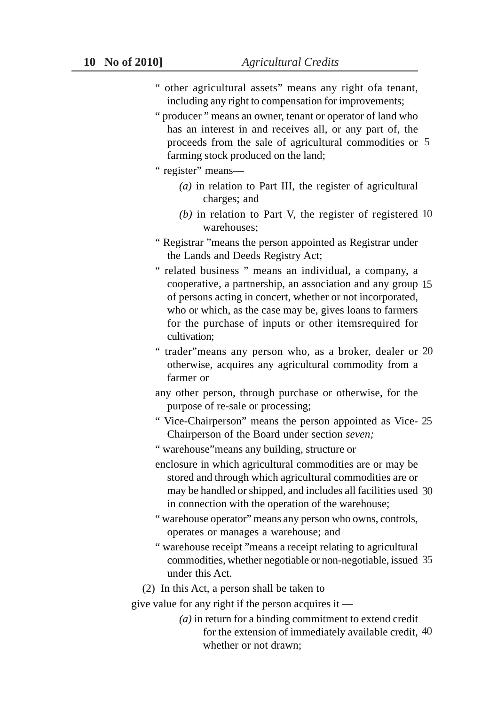- " other agricultural assets" means any right ofa tenant, including any right to compensation for improvements;
- " producer " means an owner, tenant or operator of land who has an interest in and receives all, or any part of, the proceeds from the sale of agricultural commodities or 5 farming stock produced on the land;
- " register" means—
	- *(a)* in relation to Part III, the register of agricultural charges; and
	- *(b)* in relation to Part V, the register of registered 10 warehouses;
- " Registrar "means the person appointed as Registrar under the Lands and Deeds Registry Act;
- " related business " means an individual, a company, a cooperative, a partnership, an association and any group 15 of persons acting in concert, whether or not incorporated, who or which, as the case may be, gives loans to farmers for the purchase of inputs or other itemsrequired for cultivation;
- " trader"means any person who, as a broker, dealer or 20 otherwise, acquires any agricultural commodity from a farmer or
- any other person, through purchase or otherwise, for the purpose of re-sale or processing;
- " Vice-Chairperson" means the person appointed as Vice-25 Chairperson of the Board under section *seven;*
- " warehouse"means any building, structure or
- enclosure in which agricultural commodities are or may be stored and through which agricultural commodities are or may be handled or shipped, and includes all facilities used 30 in connection with the operation of the warehouse;
- " warehouse operator" means any person who owns, controls, operates or manages a warehouse; and
- " warehouse receipt "means a receipt relating to agricultural commodities, whether negotiable or non-negotiable, issued 35 under this Act.

(2) In this Act, a person shall be taken to

give value for any right if the person acquires it —

*(a)* in return for a binding commitment to extend credit for the extension of immediately available credit, 40whether or not drawn;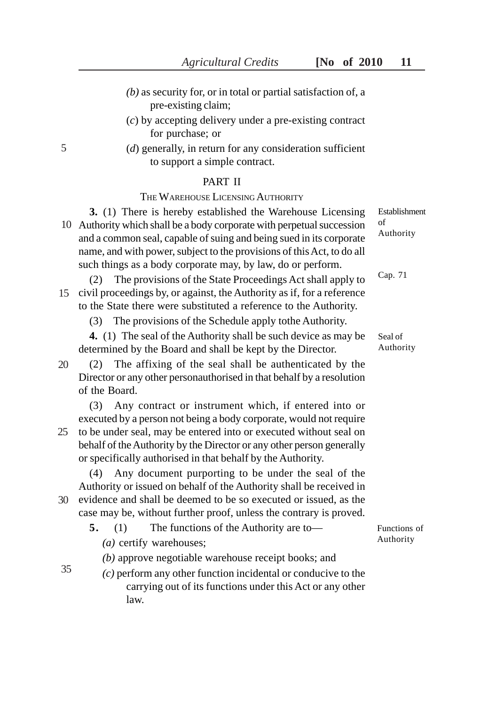- *(b)* as security for, or in total or partial satisfaction of, a pre-existing claim;
- (*c*) by accepting delivery under a pre-existing contract for purchase; or
- (*d*) generally, in return for any consideration sufficient to support a simple contract.

#### PART II

#### THE WAREHOUSE LICENSING AUTHORITY

**3.** (1) There is hereby established the Warehouse Licensing Authority which shall be a body corporate with perpetual succession 10 and a common seal, capable of suing and being sued in its corporate name, and with power, subject to the provisions of this Act, to do all such things as a body corporate may, by law, do or perform.

(2) The provisions of the State Proceedings Act shall apply to 15 civil proceedings by, or against, the Authority as if, for a reference to the State there were substituted a reference to the Authority.

(3) The provisions of the Schedule apply tothe Authority.

**4.** (1) The seal of the Authority shall be such device as may be determined by the Board and shall be kept by the Director.

(2) The affixing of the seal shall be authenticated by the Director or any other personauthorised in that behalf by a resolution of the Board. 20

(3) Any contract or instrument which, if entered into or executed by a person not being a body corporate, would not require 25 to be under seal, may be entered into or executed without seal on behalf of the Authority by the Director or any other person generally or specifically authorised in that behalf by the Authority.

(4) Any document purporting to be under the seal of the Authority or issued on behalf of the Authority shall be received in 30 evidence and shall be deemed to be so executed or issued, as the

case may be, without further proof, unless the contrary is proved.

**5.** (1) The functions of the Authority are to— *(a)* certify warehouses;

*(b)* approve negotiable warehouse receipt books; and

- 35
- *(c)* perform any other function incidental or conducive to the carrying out of its functions under this Act or any other law.

Cap. 71

Establishment

of Authority

Seal of Authority

Functions of Authority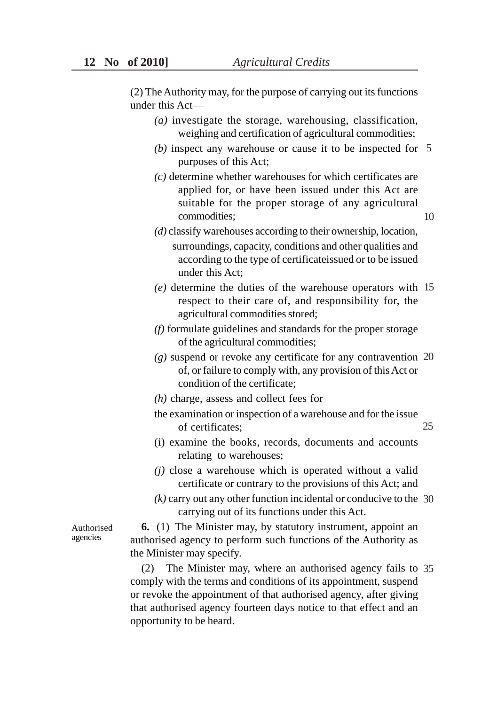(2) The Authority may, for the purpose of carrying out its functions under this Act—

- *(a)* investigate the storage, warehousing, classification, weighing and certification of agricultural commodities;
- *(b)* inspect any warehouse or cause it to be inspected for 5 purposes of this Act;
- *(c)* determine whether warehouses for which certificates are applied for, or have been issued under this Act are suitable for the proper storage of any agricultural commodities;
- 10
- *(d)* classify warehouses according to their ownership, location, surroundings, capacity, conditions and other qualities and according to the type of certificateissued or to be issued under this Act;
- *(e)* determine the duties of the warehouse operators with 15 respect to their care of, and responsibility for, the agricultural commodities stored;
- *(f)* formulate guidelines and standards for the proper storage of the agricultural commodities;
- *(g)* suspend or revoke any certificate for any contravention 20 of, or failure to comply with, any provision of this Act or condition of the certificate;
- *(h)* charge, assess and collect fees for
- the examination or inspection of a warehouse and for the issue of certificates; 25
- (i) examine the books, records, documents and accounts relating to warehouses;
- *(j)* close a warehouse which is operated without a valid certificate or contrary to the provisions of this Act; and
- *(k)* carry out any other function incidental or conducive to the 30 carrying out of its functions under this Act.

**6.** (1) The Minister may, by statutory instrument, appoint an authorised agency to perform such functions of the Authority as the Minister may specify.

(2) The Minister may, where an authorised agency fails to 35comply with the terms and conditions of its appointment, suspend or revoke the appointment of that authorised agency, after giving that authorised agency fourteen days notice to that effect and an opportunity to be heard.

Authorised agencies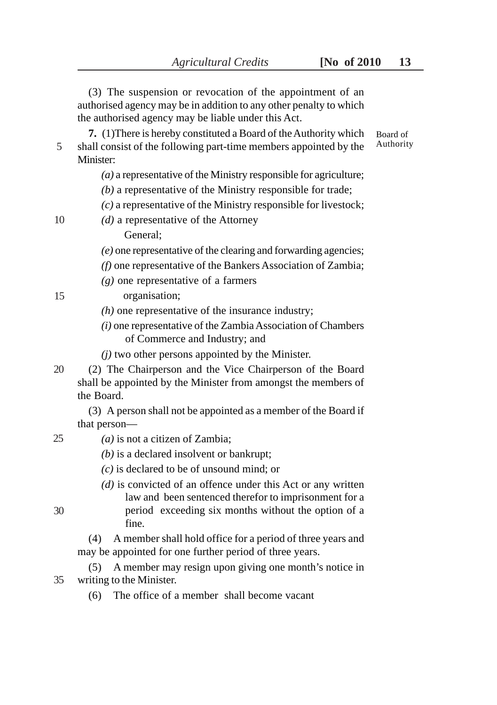|    | (3) The suspension or revocation of the appointment of an<br>authorised agency may be in addition to any other penalty to which<br>the authorised agency may be liable under this Act. |                       |
|----|----------------------------------------------------------------------------------------------------------------------------------------------------------------------------------------|-----------------------|
| 5  | 7. (1) There is hereby constituted a Board of the Authority which<br>shall consist of the following part-time members appointed by the<br>Minister:                                    | Board of<br>Authority |
|    | $(a)$ a representative of the Ministry responsible for agriculture;<br>$(b)$ a representative of the Ministry responsible for trade;                                                   |                       |
| 10 | $(c)$ a representative of the Ministry responsible for livestock;<br>$(d)$ a representative of the Attorney                                                                            |                       |
|    | General;                                                                                                                                                                               |                       |
|    | $(e)$ one representative of the clearing and forwarding agencies;                                                                                                                      |                       |
|    | (f) one representative of the Bankers Association of Zambia;                                                                                                                           |                       |
|    | $(g)$ one representative of a farmers                                                                                                                                                  |                       |
| 15 | organisation;                                                                                                                                                                          |                       |
|    | $(h)$ one representative of the insurance industry;                                                                                                                                    |                       |
|    | $(i)$ one representative of the Zambia Association of Chambers<br>of Commerce and Industry; and                                                                                        |                       |
|    | $(i)$ two other persons appointed by the Minister.                                                                                                                                     |                       |
| 20 | (2) The Chairperson and the Vice Chairperson of the Board<br>shall be appointed by the Minister from amongst the members of<br>the Board.                                              |                       |
|    | (3) A person shall not be appointed as a member of the Board if                                                                                                                        |                       |
|    | that person-                                                                                                                                                                           |                       |
| 25 | $(a)$ is not a citizen of Zambia;                                                                                                                                                      |                       |
|    | $(b)$ is a declared insolvent or bankrupt;                                                                                                                                             |                       |
|    | $(c)$ is declared to be of unsound mind; or                                                                                                                                            |                       |
|    | $(d)$ is convicted of an offence under this Act or any written<br>law and been sentenced therefor to imprisonment for a                                                                |                       |
| 30 | period exceeding six months without the option of a                                                                                                                                    |                       |

fine.

(4) A member shall hold office for a period of three years and may be appointed for one further period of three years.

(5) A member may resign upon giving one month's notice in writing to the Minister. 35

(6) The office of a member shall become vacant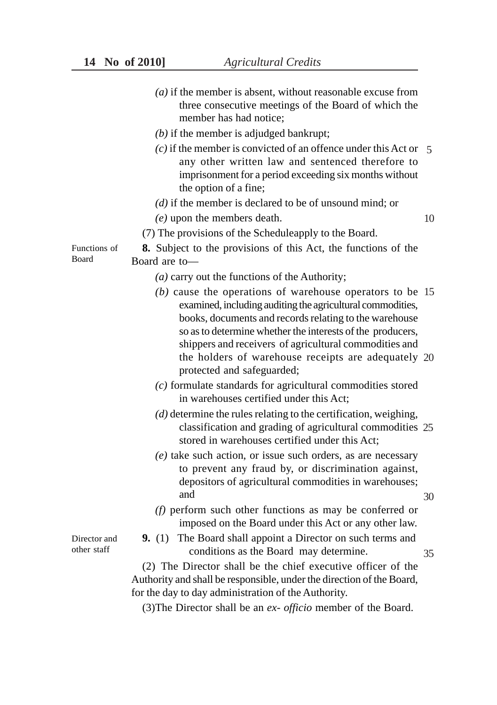- *(a)* if the member is absent, without reasonable excuse from three consecutive meetings of the Board of which the member has had notice;
- *(b)* if the member is adjudged bankrupt;
- *(c)* if the member is convicted of an offence under this Act or 5 any other written law and sentenced therefore to imprisonment for a period exceeding six months without the option of a fine;
- *(d)* if the member is declared to be of unsound mind; or
- *(e)* upon the members death.

- (7) The provisions of the Scheduleapply to the Board.
- **8.** Subject to the provisions of this Act, the functions of the Board are to—
	- *(a)* carry out the functions of the Authority;
	- *(b)* cause the operations of warehouse operators to be 15 examined, including auditing the agricultural commodities, books, documents and records relating to the warehouse so as to determine whether the interests of the producers, shippers and receivers of agricultural commodities and the holders of warehouse receipts are adequately 20 protected and safeguarded;
	- *(c)* formulate standards for agricultural commodities stored in warehouses certified under this Act;
	- *(d)* determine the rules relating to the certification, weighing, classification and grading of agricultural commodities 25 stored in warehouses certified under this Act;
	- *(e)* take such action, or issue such orders, as are necessary to prevent any fraud by, or discrimination against, depositors of agricultural commodities in warehouses; and
	- *(f)* perform such other functions as may be conferred or imposed on the Board under this Act or any other law.
	- **9.** (1) The Board shall appoint a Director on such terms and conditions as the Board may determine.
- 35

30

(2) The Director shall be the chief executive officer of the Authority and shall be responsible, under the direction of the Board, for the day to day administration of the Authority.

(3)The Director shall be an *ex- officio* member of the Board.

Functions of Board

Director and other staff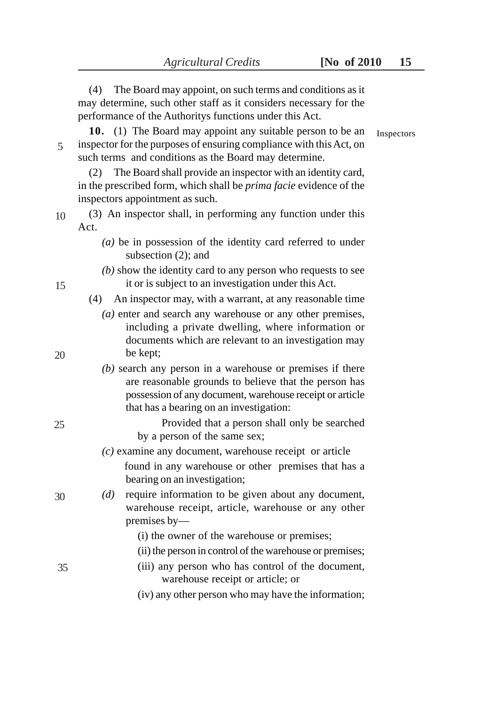|            | (4)<br>The Board may appoint, on such terms and conditions as it                                                                                                                                                            |    |
|------------|-----------------------------------------------------------------------------------------------------------------------------------------------------------------------------------------------------------------------------|----|
|            | may determine, such other staff as it considers necessary for the<br>performance of the Authoritys functions under this Act.                                                                                                |    |
| Inspectors | 10.<br>(1) The Board may appoint any suitable person to be an<br>inspector for the purposes of ensuring compliance with this Act, on<br>such terms and conditions as the Board may determine.                               | 5  |
|            | The Board shall provide an inspector with an identity card,<br>(2)<br>in the prescribed form, which shall be prima facie evidence of the<br>inspectors appointment as such.                                                 |    |
|            | (3) An inspector shall, in performing any function under this<br>Act.                                                                                                                                                       | 10 |
|            | $(a)$ be in possession of the identity card referred to under<br>subsection (2); and                                                                                                                                        |    |
|            | $(b)$ show the identity card to any person who requests to see<br>it or is subject to an investigation under this Act.                                                                                                      | 15 |
|            | An inspector may, with a warrant, at any reasonable time<br>(4)                                                                                                                                                             |    |
|            | $(a)$ enter and search any warehouse or any other premises,<br>including a private dwelling, where information or<br>documents which are relevant to an investigation may                                                   |    |
|            | be kept;                                                                                                                                                                                                                    | 20 |
|            | $(b)$ search any person in a warehouse or premises if there<br>are reasonable grounds to believe that the person has<br>possession of any document, warehouse receipt or article<br>that has a bearing on an investigation: |    |
|            | Provided that a person shall only be searched<br>by a person of the same sex;                                                                                                                                               | 25 |
|            | $(c)$ examine any document, warehouse receipt or article                                                                                                                                                                    |    |
|            | found in any warehouse or other premises that has a<br>bearing on an investigation;                                                                                                                                         |    |
|            | require information to be given about any document,<br>(d)<br>warehouse receipt, article, warehouse or any other<br>premises by-                                                                                            | 30 |
|            | (i) the owner of the warehouse or premises;                                                                                                                                                                                 |    |
|            | (ii) the person in control of the warehouse or premises;                                                                                                                                                                    |    |
|            | (iii) any person who has control of the document,<br>warehouse receipt or article; or                                                                                                                                       | 35 |
|            | (iv) any other person who may have the information;                                                                                                                                                                         |    |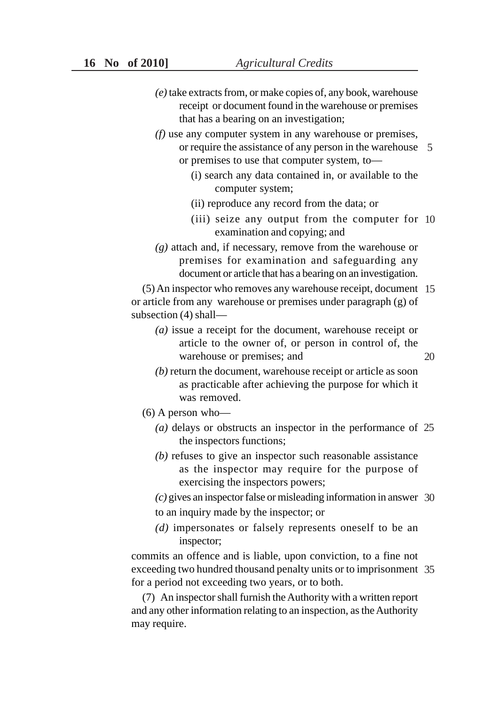- *(e)* take extracts from, or make copies of, any book, warehouse receipt or document found in the warehouse or premises that has a bearing on an investigation;
- *(f)* use any computer system in any warehouse or premises, or require the assistance of any person in the warehouse 5 or premises to use that computer system, to—
	- (i) search any data contained in, or available to the computer system;
	- (ii) reproduce any record from the data; or
	- (iii) seize any output from the computer for 10 examination and copying; and

*(g)* attach and, if necessary, remove from the warehouse or premises for examination and safeguarding any document or article that has a bearing on an investigation.

(5) An inspector who removes any warehouse receipt, document 15 or article from any warehouse or premises under paragraph (g) of subsection (4) shall—

- *(a)* issue a receipt for the document, warehouse receipt or article to the owner of, or person in control of, the warehouse or premises; and
- *(b)* return the document, warehouse receipt or article as soon as practicable after achieving the purpose for which it was removed.
- (6) A person who—
	- *(a)* delays or obstructs an inspector in the performance of 25 the inspectors functions;
	- *(b)* refuses to give an inspector such reasonable assistance as the inspector may require for the purpose of exercising the inspectors powers;
	- *(c)* gives an inspector false or misleading information in answer 30
	- to an inquiry made by the inspector; or
	- *(d)* impersonates or falsely represents oneself to be an inspector;

commits an offence and is liable, upon conviction, to a fine not exceeding two hundred thousand penalty units or to imprisonment 35for a period not exceeding two years, or to both.

(7) An inspector shall furnish the Authority with a written report and any other information relating to an inspection, as the Authority may require.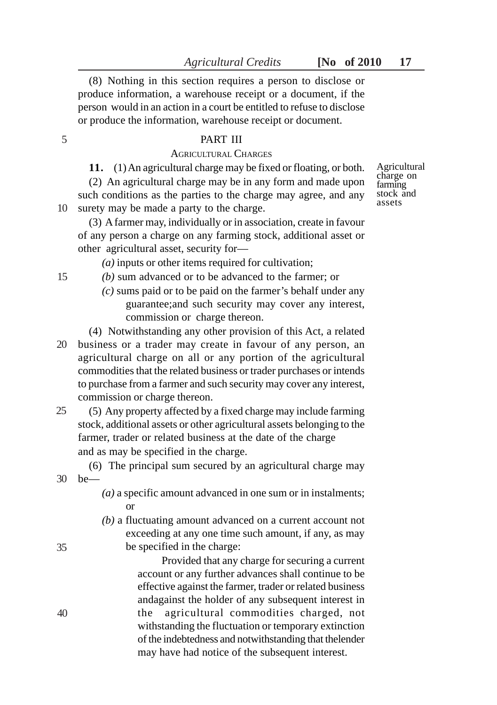(8) Nothing in this section requires a person to disclose or produce information, a warehouse receipt or a document, if the person would in an action in a court be entitled to refuse to disclose or produce the information, warehouse receipt or document.

#### PART III

# AGRICULTURAL CHARGES

**11.** (1) An agricultural charge may be fixed or floating, or both. (2) An agricultural charge may be in any form and made upon such conditions as the parties to the charge may agree, and any surety may be made a party to the charge. 10

farming stock and assets

Agricultural charge on

(3) A farmer may, individually or in association, create in favour of any person a charge on any farming stock, additional asset or other agricultural asset, security for—

*(a)* inputs or other items required for cultivation;

- *(b)* sum advanced or to be advanced to the farmer; or
	- *(c)* sums paid or to be paid on the farmer's behalf under any guarantee;and such security may cover any interest, commission or charge thereon.
- (4) Notwithstanding any other provision of this Act, a related business or a trader may create in favour of any person, an agricultural charge on all or any portion of the agricultural commodities that the related business or trader purchases or intends to purchase from a farmer and such security may cover any interest, commission or charge thereon. 20
- (5) Any property affected by a fixed charge may include farming stock, additional assets or other agricultural assets belonging to the farmer, trader or related business at the date of the charge and as may be specified in the charge. 25
- (6) The principal sum secured by an agricultural charge may be— 30
	- *(a)* a specific amount advanced in one sum or in instalments; or
	- *(b)* a fluctuating amount advanced on a current account not exceeding at any one time such amount, if any, as may be specified in the charge:

Provided that any charge for securing a current account or any further advances shall continue to be effective against the farmer, trader or related business andagainst the holder of any subsequent interest in the agricultural commodities charged, not withstanding the fluctuation or temporary extinction of the indebtedness and notwithstanding that thelender may have had notice of the subsequent interest.

15

35

40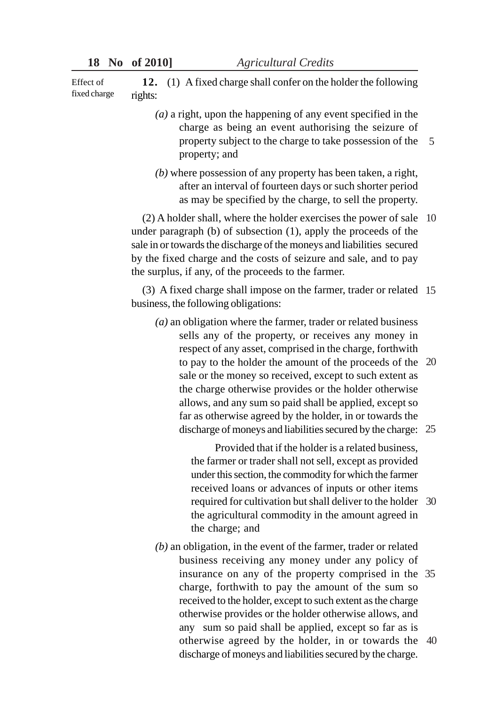**12.** (1) A fixed charge shall confer on the holder the following rights: Effect of fixed charge

- *(a)* a right, upon the happening of any event specified in the charge as being an event authorising the seizure of property subject to the charge to take possession of the property; and 5
- *(b)* where possession of any property has been taken, a right, after an interval of fourteen days or such shorter period as may be specified by the charge, to sell the property.

(2) A holder shall, where the holder exercises the power of sale 10 under paragraph (b) of subsection (1), apply the proceeds of the sale in or towards the discharge of the moneys and liabilities secured by the fixed charge and the costs of seizure and sale, and to pay the surplus, if any, of the proceeds to the farmer.

(3) A fixed charge shall impose on the farmer, trader or related 15 business, the following obligations:

*(a)* an obligation where the farmer, trader or related business sells any of the property, or receives any money in respect of any asset, comprised in the charge, forthwith to pay to the holder the amount of the proceeds of the 20 sale or the money so received, except to such extent as the charge otherwise provides or the holder otherwise allows, and any sum so paid shall be applied, except so far as otherwise agreed by the holder, in or towards the discharge of moneys and liabilities secured by the charge: 25

> Provided that if the holder is a related business, the farmer or trader shall not sell, except as provided under this section, the commodity for which the farmer received loans or advances of inputs or other items required for cultivation but shall deliver to the holder 30 the agricultural commodity in the amount agreed in the charge; and

*(b)* an obligation, in the event of the farmer, trader or related business receiving any money under any policy of insurance on any of the property comprised in the 35 charge, forthwith to pay the amount of the sum so received to the holder, except to such extent as the charge otherwise provides or the holder otherwise allows, and any sum so paid shall be applied, except so far as is otherwise agreed by the holder, in or towards the 40discharge of moneys and liabilities secured by the charge.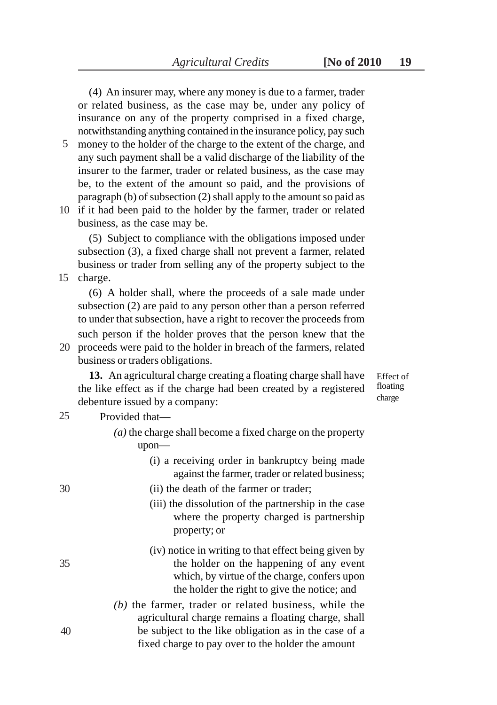(4) An insurer may, where any money is due to a farmer, trader or related business, as the case may be, under any policy of insurance on any of the property comprised in a fixed charge, notwithstanding anything contained in the insurance policy, pay such

- money to the holder of the charge to the extent of the charge, and 5 any such payment shall be a valid discharge of the liability of the insurer to the farmer, trader or related business, as the case may be, to the extent of the amount so paid, and the provisions of paragraph (b) of subsection (2) shall apply to the amount so paid as
- 10 if it had been paid to the holder by the farmer, trader or related business, as the case may be.

(5) Subject to compliance with the obligations imposed under subsection (3), a fixed charge shall not prevent a farmer, related business or trader from selling any of the property subject to the charge. 15

(6) A holder shall, where the proceeds of a sale made under subsection (2) are paid to any person other than a person referred to under that subsection, have a right to recover the proceeds from such person if the holder proves that the person knew that the 20 proceeds were paid to the holder in breach of the farmers, related

business or traders obligations.

**13.** An agricultural charge creating a floating charge shall have the like effect as if the charge had been created by a registered debenture issued by a company:

Effect of floating charge

#### Provided that— 25

- *(a)* the charge shall become a fixed charge on the property upon—
	- (i) a receiving order in bankruptcy being made against the farmer, trader or related business;

30

- (ii) the death of the farmer or trader;
- (iii) the dissolution of the partnership in the case where the property charged is partnership property; or
- (iv) notice in writing to that effect being given by the holder on the happening of any event which, by virtue of the charge, confers upon the holder the right to give the notice; and
- *(b)* the farmer, trader or related business, while the agricultural charge remains a floating charge, shall be subject to the like obligation as in the case of a fixed charge to pay over to the holder the amount
- 40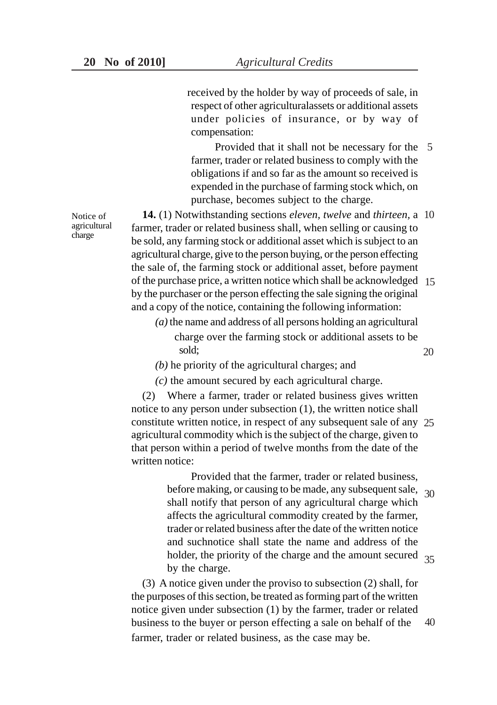received by the holder by way of proceeds of sale, in respect of other agriculturalassets or additional assets under policies of insurance, or by way of compensation:

Provided that it shall not be necessary for the 5 farmer, trader or related business to comply with the obligations if and so far as the amount so received is expended in the purchase of farming stock which, on purchase, becomes subject to the charge.

**14.** (1) Notwithstanding sections *eleven, twelve* and *thirteen,* a 10 farmer, trader or related business shall, when selling or causing to be sold, any farming stock or additional asset which is subject to an agricultural charge, give to the person buying, or the person effecting the sale of, the farming stock or additional asset, before payment of the purchase price, a written notice which shall be acknowledged 15 by the purchaser or the person effecting the sale signing the original and a copy of the notice, containing the following information:

*(a)* the name and address of all persons holding an agricultural charge over the farming stock or additional assets to be sold;

*(b)* he priority of the agricultural charges; and

*(c)* the amount secured by each agricultural charge.

(2) Where a farmer, trader or related business gives written notice to any person under subsection (1), the written notice shall constitute written notice, in respect of any subsequent sale of any 25 agricultural commodity which is the subject of the charge, given to that person within a period of twelve months from the date of the written notice:

> Provided that the farmer, trader or related business, before making, or causing to be made, any subsequent sale, 30 shall notify that person of any agricultural charge which affects the agricultural commodity created by the farmer, trader or related business after the date of the written notice and suchnotice shall state the name and address of the holder, the priority of the charge and the amount secured 35 by the charge.

(3) A notice given under the proviso to subsection (2) shall, for the purposes of this section, be treated as forming part of the written notice given under subsection (1) by the farmer, trader or related business to the buyer or person effecting a sale on behalf of the farmer, trader or related business, as the case may be. 40

Notice of agricultural charge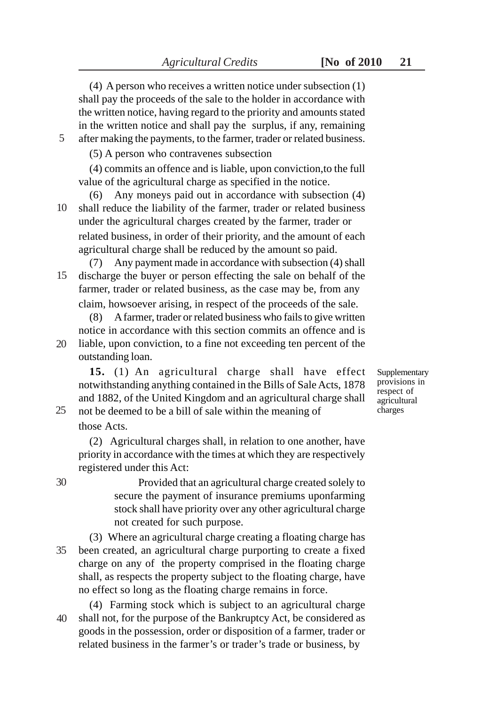(4) A person who receives a written notice under subsection (1)

shall pay the proceeds of the sale to the holder in accordance with the written notice, having regard to the priority and amounts stated in the written notice and shall pay the surplus, if any, remaining after making the payments, to the farmer, trader or related business. (5) A person who contravenes subsection

(4) commits an offence and is liable, upon conviction,to the full value of the agricultural charge as specified in the notice.

(6) Any moneys paid out in accordance with subsection (4) shall reduce the liability of the farmer, trader or related business under the agricultural charges created by the farmer, trader or related business, in order of their priority, and the amount of each agricultural charge shall be reduced by the amount so paid. 10

(7) Any payment made in accordance with subsection (4) shall discharge the buyer or person effecting the sale on behalf of the farmer, trader or related business, as the case may be, from any claim, howsoever arising, in respect of the proceeds of the sale. 15

(8) A farmer, trader or related business who fails to give written notice in accordance with this section commits an offence and is liable, upon conviction, to a fine not exceeding ten percent of the 20

outstanding loan.

**15.** (1) An agricultural charge shall have effect notwithstanding anything contained in the Bills of Sale Acts, 1878 and 1882, of the United Kingdom and an agricultural charge shall

**Supplementary** provisions in respect of agricultural charges

not be deemed to be a bill of sale within the meaning of those Acts. 25

(2) Agricultural charges shall, in relation to one another, have priority in accordance with the times at which they are respectively registered under this Act:

Provided that an agricultural charge created solely to secure the payment of insurance premiums uponfarming stock shall have priority over any other agricultural charge not created for such purpose.

(3) Where an agricultural charge creating a floating charge has been created, an agricultural charge purporting to create a fixed charge on any of the property comprised in the floating charge shall, as respects the property subject to the floating charge, have no effect so long as the floating charge remains in force. 35

(4) Farming stock which is subject to an agricultural charge shall not, for the purpose of the Bankruptcy Act, be considered as goods in the possession, order or disposition of a farmer, trader or related business in the farmer's or trader's trade or business, by 40

30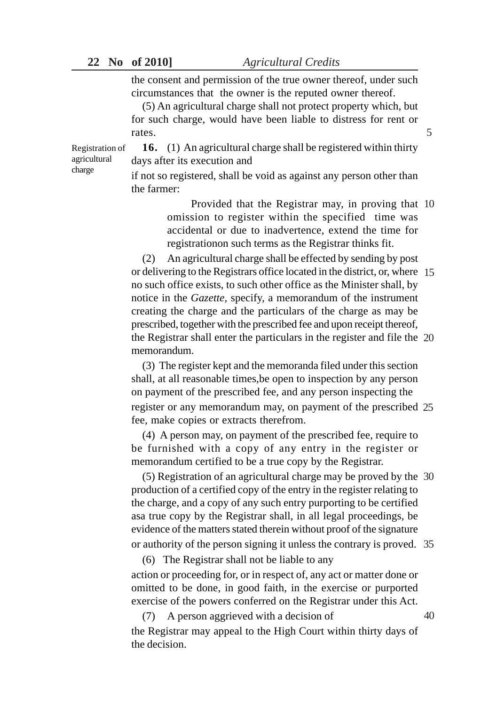|  | 22 No of 2010] | <b>Agricultural Credits</b>                                      |
|--|----------------|------------------------------------------------------------------|
|  |                | the consent and permission of the true owner thereof, under such |
|  |                | circumstances that the owner is the reputed owner thereof.       |
|  |                | $(5)$ An equipplished above shall not protect property which but |

(5) An agricultural charge shall not protect property which, but for such charge, would have been liable to distress for rent or rates.

Registration of agricultural charge

**16.** (1) An agricultural charge shall be registered within thirty days after its execution and

if not so registered, shall be void as against any person other than the farmer:

> Provided that the Registrar may, in proving that 10 omission to register within the specified time was accidental or due to inadvertence, extend the time for registrationon such terms as the Registrar thinks fit.

5

(2) An agricultural charge shall be effected by sending by post or delivering to the Registrars office located in the district, or, where 15 no such office exists, to such other office as the Minister shall, by notice in the *Gazette,* specify, a memorandum of the instrument creating the charge and the particulars of the charge as may be prescribed, together with the prescribed fee and upon receipt thereof, the Registrar shall enter the particulars in the register and file the 20 memorandum.

(3) The register kept and the memoranda filed under this section shall, at all reasonable times,be open to inspection by any person on payment of the prescribed fee, and any person inspecting the register or any memorandum may, on payment of the prescribed 25 fee, make copies or extracts therefrom.

(4) A person may, on payment of the prescribed fee, require to be furnished with a copy of any entry in the register or memorandum certified to be a true copy by the Registrar.

(5) Registration of an agricultural charge may be proved by the 30 production of a certified copy of the entry in the register relating to the charge, and a copy of any such entry purporting to be certified asa true copy by the Registrar shall, in all legal proceedings, be evidence of the matters stated therein without proof of the signature or authority of the person signing it unless the contrary is proved. 35

(6) The Registrar shall not be liable to any action or proceeding for, or in respect of, any act or matter done or omitted to be done, in good faith, in the exercise or purported exercise of the powers conferred on the Registrar under this Act.

(7) A person aggrieved with a decision of the Registrar may appeal to the High Court within thirty days of the decision. 40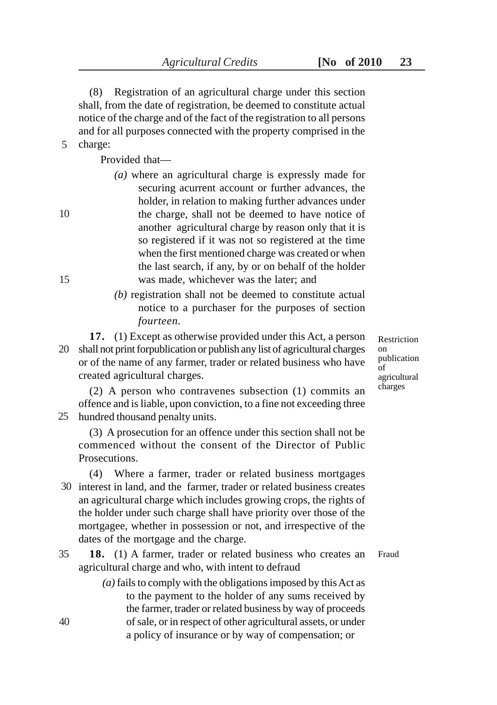(8) Registration of an agricultural charge under this section shall, from the date of registration, be deemed to constitute actual notice of the charge and of the fact of the registration to all persons and for all purposes connected with the property comprised in the charge:

Provided that—

- *(a)* where an agricultural charge is expressly made for securing acurrent account or further advances, the holder, in relation to making further advances under the charge, shall not be deemed to have notice of another agricultural charge by reason only that it is so registered if it was not so registered at the time when the first mentioned charge was created or when the last search, if any, by or on behalf of the holder was made, whichever was the later; and
- *(b)* registration shall not be deemed to constitute actual notice to a purchaser for the purposes of section *fourteen.*
- **17.** (1) Except as otherwise provided under this Act, a person shall not print forpublication or publish any list of agricultural charges 20 or of the name of any farmer, trader or related business who have created agricultural charges.

Restriction on publication of agricultural charges

(2) A person who contravenes subsection (1) commits an offence and is liable, upon conviction, to a fine not exceeding three hundred thousand penalty units. 25

(3) A prosecution for an offence under this section shall not be commenced without the consent of the Director of Public Prosecutions.

(4) Where a farmer, trader or related business mortgages 30 interest in land, and the farmer, trader or related business creates an agricultural charge which includes growing crops, the rights of the holder under such charge shall have priority over those of the mortgagee, whether in possession or not, and irrespective of the dates of the mortgage and the charge.

**18.** (1) A farmer, trader or related business who creates an agricultural charge and who, with intent to defraud Fraud 35

> *(a)* fails to comply with the obligations imposed by this Act as to the payment to the holder of any sums received by the farmer, trader or related business by way of proceeds of sale, or in respect of other agricultural assets, or under a policy of insurance or by way of compensation; or

40

10

5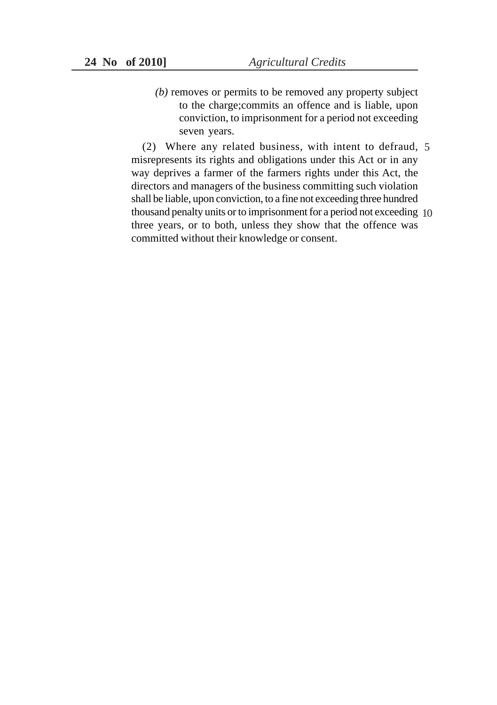*(b)* removes or permits to be removed any property subject to the charge;commits an offence and is liable, upon conviction, to imprisonment for a period not exceeding seven years.

(2) Where any related business, with intent to defraud, 5 misrepresents its rights and obligations under this Act or in any way deprives a farmer of the farmers rights under this Act, the directors and managers of the business committing such violation shall be liable, upon conviction, to a fine not exceeding three hundred thousand penalty units or to imprisonment for a period not exceeding 10three years, or to both, unless they show that the offence was committed without their knowledge or consent.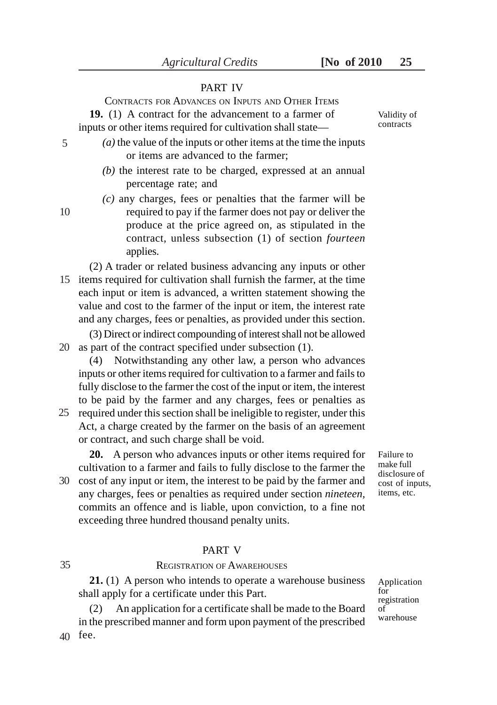## PART IV

CONTRACTS FOR ADVANCES ON INPUTS AND OTHER ITEMS **19.** (1) A contract for the advancement to a farmer of inputs or other items required for cultivation shall state—

- *(a)* the value of the inputs or other items at the time the inputs or items are advanced to the farmer;
	- *(b)* the interest rate to be charged, expressed at an annual percentage rate; and
	- *(c)* any charges, fees or penalties that the farmer will be required to pay if the farmer does not pay or deliver the produce at the price agreed on, as stipulated in the contract, unless subsection (1) of section *fourteen* applies.

(2) A trader or related business advancing any inputs or other 15 items required for cultivation shall furnish the farmer, at the time each input or item is advanced, a written statement showing the value and cost to the farmer of the input or item, the interest rate and any charges, fees or penalties, as provided under this section.

(3) Direct or indirect compounding of interest shall not be allowed 20 as part of the contract specified under subsection (1).

(4) Notwithstanding any other law, a person who advances inputs or other items required for cultivation to a farmer and fails to fully disclose to the farmer the cost of the input or item, the interest to be paid by the farmer and any charges, fees or penalties as

25 required under this section shall be ineligible to register, under this Act, a charge created by the farmer on the basis of an agreement or contract, and such charge shall be void.

**20.** A person who advances inputs or other items required for cultivation to a farmer and fails to fully disclose to the farmer the 30 cost of any input or item, the interest to be paid by the farmer and

any charges, fees or penalties as required under section *nineteen,* commits an offence and is liable, upon conviction, to a fine not exceeding three hundred thousand penalty units.

# PART V REGISTRATION OF AWAREHOUSES

**21.** (1) A person who intends to operate a warehouse business shall apply for a certificate under this Part.

(2) An application for a certificate shall be made to the Board in the prescribed manner and form upon payment of the prescribed fee. 40

Failure to make full disclosure of cost of inputs, items, etc.

Application for registration of warehouse

Validity of contracts

5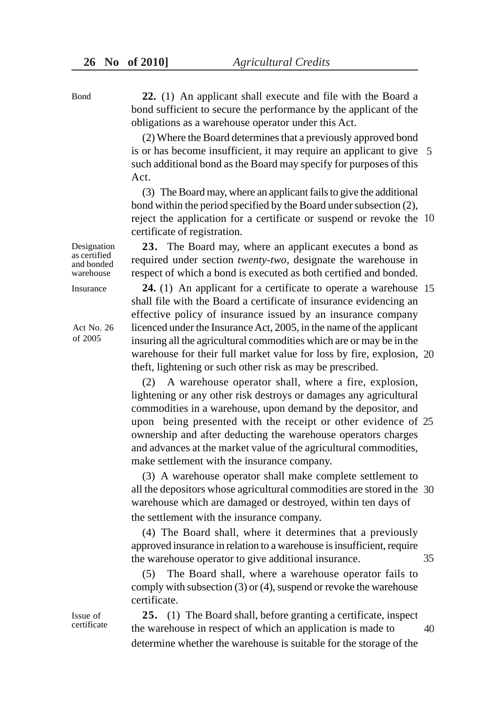**22.** (1) An applicant shall execute and file with the Board a bond sufficient to secure the performance by the applicant of the obligations as a warehouse operator under this Act.

(2) Where the Board determines that a previously approved bond is or has become insufficient, it may require an applicant to give 5 such additional bond as the Board may specify for purposes of this Act.

(3) The Board may, where an applicant fails to give the additional bond within the period specified by the Board under subsection (2), reject the application for a certificate or suspend or revoke the 10 certificate of registration.

**23.** The Board may, where an applicant executes a bond as required under section *twenty-two,* designate the warehouse in respect of which a bond is executed as both certified and bonded.

**24.** (1) An applicant for a certificate to operate a warehouse 15 shall file with the Board a certificate of insurance evidencing an effective policy of insurance issued by an insurance company licenced under the Insurance Act, 2005, in the name of the applicant insuring all the agricultural commodities which are or may be in the warehouse for their full market value for loss by fire, explosion, 20 theft, lightening or such other risk as may be prescribed.

(2) A warehouse operator shall, where a fire, explosion, lightening or any other risk destroys or damages any agricultural commodities in a warehouse, upon demand by the depositor, and upon being presented with the receipt or other evidence of 25 ownership and after deducting the warehouse operators charges and advances at the market value of the agricultural commodities, make settlement with the insurance company.

(3) A warehouse operator shall make complete settlement to all the depositors whose agricultural commodities are stored in the 30 warehouse which are damaged or destroyed, within ten days of the settlement with the insurance company.

(4) The Board shall, where it determines that a previously approved insurance in relation to a warehouse is insufficient, require the warehouse operator to give additional insurance. 35

(5) The Board shall, where a warehouse operator fails to comply with subsection (3) or (4), suspend or revoke the warehouse certificate.

**25.** (1) The Board shall, before granting a certificate, inspect the warehouse in respect of which an application is made to determine whether the warehouse is suitable for the storage of the 40

Designation as certified and bonded warehouse

Insurance

Bond

Act No. 26 of 2005

Issue of certificate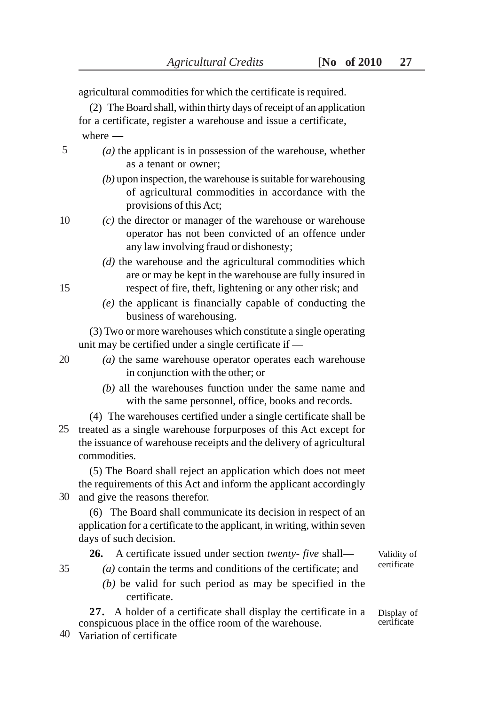agricultural commodities for which the certificate is required. (2) The Board shall, within thirty days of receipt of an application for a certificate, register a warehouse and issue a certificate, where — *(a)* the applicant is in possession of the warehouse, whether as a tenant or owner; *(b)* upon inspection, the warehouse is suitable for warehousing of agricultural commodities in accordance with the provisions of this Act; *(c)* the director or manager of the warehouse or warehouse operator has not been convicted of an offence under any law involving fraud or dishonesty; *(d)* the warehouse and the agricultural commodities which are or may be kept in the warehouse are fully insured in respect of fire, theft, lightening or any other risk; and *(e)* the applicant is financially capable of conducting the business of warehousing. (3) Two or more warehouses which constitute a single operating unit may be certified under a single certificate if — *(a)* the same warehouse operator operates each warehouse in conjunction with the other; or *(b)* all the warehouses function under the same name and with the same personnel, office, books and records. (4) The warehouses certified under a single certificate shall be the issuance of warehouse receipts and the delivery of agricultural commodities. (5) The Board shall reject an application which does not meet the requirements of this Act and inform the applicant accordingly (6) The Board shall communicate its decision in respect of an application for a certificate to the applicant, in writing, within seven days of such decision. **26.** A certificate issued under section *twenty- five* shall— *(a)* contain the terms and conditions of the certificate; and *(b)* be valid for such period as may be specified in the certificate. **27.** A holder of a certificate shall display the certificate in a conspicuous place in the office room of the warehouse. Variation of certificate 405 10 35

15

20

25 treated as a single warehouse forpurposes of this Act except for

30 and give the reasons therefor.

Validity of certificate

Display of certificate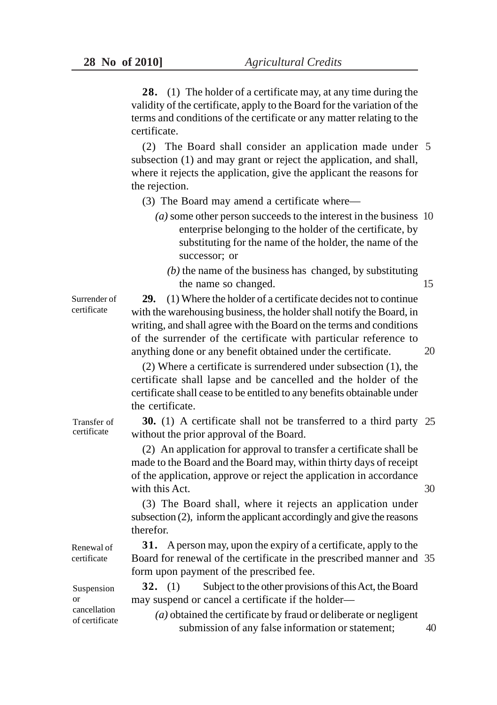**28.** (1) The holder of a certificate may, at any time during the validity of the certificate, apply to the Board for the variation of the terms and conditions of the certificate or any matter relating to the certificate.

(2) The Board shall consider an application made under 5 subsection (1) and may grant or reject the application, and shall, where it rejects the application, give the applicant the reasons for the rejection.

- (3) The Board may amend a certificate where—
	- *(a)* some other person succeeds to the interest in the business 10 enterprise belonging to the holder of the certificate, by substituting for the name of the holder, the name of the successor; or
		- *(b)* the name of the business has changed, by substituting the name so changed. 15

**29.** (1) Where the holder of a certificate decides not to continue with the warehousing business, the holder shall notify the Board, in writing, and shall agree with the Board on the terms and conditions of the surrender of the certificate with particular reference to anything done or any benefit obtained under the certificate.

(2) Where a certificate is surrendered under subsection (1), the certificate shall lapse and be cancelled and the holder of the certificate shall cease to be entitled to any benefits obtainable under the certificate.

**30.** (1) A certificate shall not be transferred to a third party 25 without the prior approval of the Board.

(2) An application for approval to transfer a certificate shall be made to the Board and the Board may, within thirty days of receipt of the application, approve or reject the application in accordance with this Act.

(3) The Board shall, where it rejects an application under subsection (2), inform the applicant accordingly and give the reasons therefor.

**31.** A person may, upon the expiry of a certificate, apply to the Board for renewal of the certificate in the prescribed manner and 35 form upon payment of the prescribed fee.

**32.** (1) Subject to the other provisions of this Act, the Board may suspend or cancel a certificate if the holder—

*(a)* obtained the certificate by fraud or deliberate or negligent submission of any false information or statement;

Transfer of certificate

Surrender of certificate

Renewal of certificate

Suspension or cancellation of certificate

30

40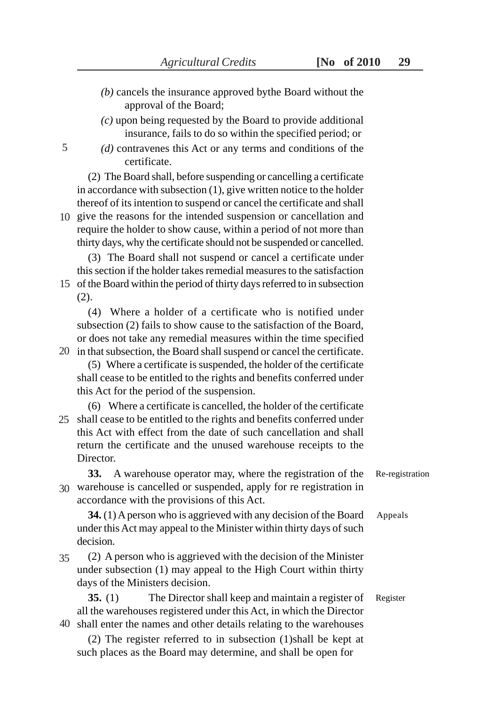- *(b)* cancels the insurance approved bythe Board without the approval of the Board;
- *(c)* upon being requested by the Board to provide additional insurance, fails to do so within the specified period; or
- *(d)* contravenes this Act or any terms and conditions of the certificate.

(2) The Board shall, before suspending or cancelling a certificate in accordance with subsection (1), give written notice to the holder thereof of its intention to suspend or cancel the certificate and shall

10 give the reasons for the intended suspension or cancellation and require the holder to show cause, within a period of not more than thirty days, why the certificate should not be suspended or cancelled.

(3) The Board shall not suspend or cancel a certificate under this section if the holder takes remedial measures to the satisfaction 15 of the Board within the period of thirty days referred to in subsection (2).

(4) Where a holder of a certificate who is notified under subsection (2) fails to show cause to the satisfaction of the Board, or does not take any remedial measures within the time specified

- 20 in that subsection, the Board shall suspend or cancel the certificate. (5) Where a certificate is suspended, the holder of the certificate shall cease to be entitled to the rights and benefits conferred under this Act for the period of the suspension.
- (6) Where a certificate is cancelled, the holder of the certificate 25 shall cease to be entitled to the rights and benefits conferred under this Act with effect from the date of such cancellation and shall return the certificate and the unused warehouse receipts to the Director.
- **33.** A warehouse operator may, where the registration of the warehouse is cancelled or suspended, apply for re registration in 30 accordance with the provisions of this Act.

**34.** (1) A person who is aggrieved with any decision of the Board under this Act may appeal to the Minister within thirty days of such decision.

(2) A person who is aggrieved with the decision of the Minister under subsection (1) may appeal to the High Court within thirty days of the Ministers decision. 35

**35.** (1) The Director shall keep and maintain a register of all the warehouses registered under this Act, in which the Director shall enter the names and other details relating to the warehouses 40

(2) The register referred to in subsection (1)shall be kept at such places as the Board may determine, and shall be open for

Re-registration

Appeals

Register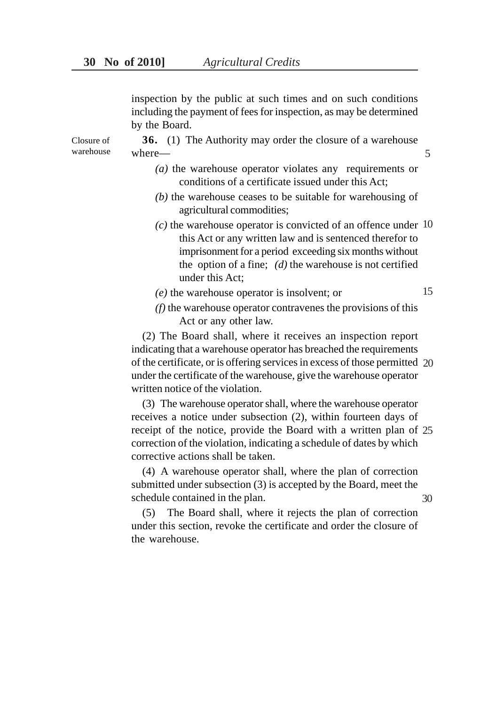inspection by the public at such times and on such conditions including the payment of fees for inspection, as may be determined by the Board.

**36.** (1) The Authority may order the closure of a warehouse where— Closure of warehouse where — 5

- *(a)* the warehouse operator violates any requirements or conditions of a certificate issued under this Act;
- *(b)* the warehouse ceases to be suitable for warehousing of agricultural commodities;
- *(c)* the warehouse operator is convicted of an offence under 10 this Act or any written law and is sentenced therefor to imprisonment for a period exceeding six months without the option of a fine; *(d)* the warehouse is not certified under this Act;
- *(e)* the warehouse operator is insolvent; or
- 15
- *(f)* the warehouse operator contravenes the provisions of this Act or any other law.

(2) The Board shall, where it receives an inspection report indicating that a warehouse operator has breached the requirements of the certificate, or is offering services in excess of those permitted 20 under the certificate of the warehouse, give the warehouse operator written notice of the violation.

(3) The warehouse operator shall, where the warehouse operator receives a notice under subsection (2), within fourteen days of receipt of the notice, provide the Board with a written plan of 25 correction of the violation, indicating a schedule of dates by which corrective actions shall be taken.

(4) A warehouse operator shall, where the plan of correction submitted under subsection (3) is accepted by the Board, meet the schedule contained in the plan.

(5) The Board shall, where it rejects the plan of correction under this section, revoke the certificate and order the closure of the warehouse.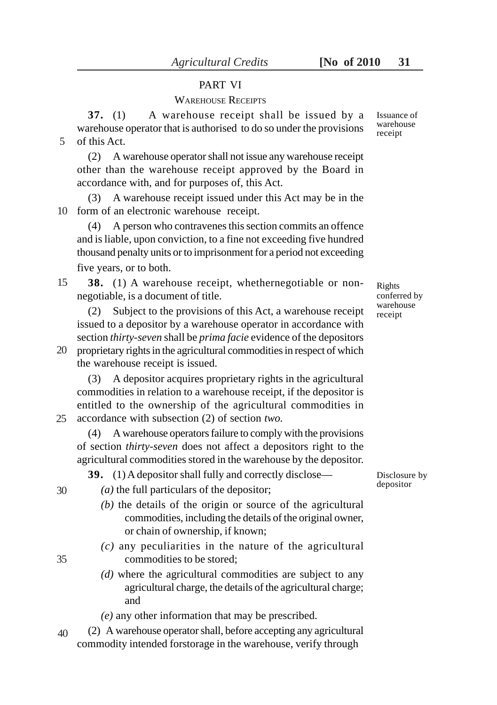# PART VI

# WAREHOUSE RECEIPTS

**37.** (1) A warehouse receipt shall be issued by a warehouse operator that is authorised to do so under the provisions of this Act. 5

(2) A warehouse operator shall not issue any warehouse receipt other than the warehouse receipt approved by the Board in accordance with, and for purposes of, this Act.

(3) A warehouse receipt issued under this Act may be in the 10 form of an electronic warehouse receipt.

(4) A person who contravenes this section commits an offence and is liable, upon conviction, to a fine not exceeding five hundred thousand penalty units or to imprisonment for a period not exceeding five years, or to both.

**38.** (1) A warehouse receipt, whethernegotiable or nonnegotiable, is a document of title. 15

(2) Subject to the provisions of this Act, a warehouse receipt issued to a depositor by a warehouse operator in accordance with section *thirty-seven* shall be *prima facie* evidence of the depositors

proprietary rights in the agricultural commodities in respect of which 20 the warehouse receipt is issued.

(3) A depositor acquires proprietary rights in the agricultural commodities in relation to a warehouse receipt, if the depositor is entitled to the ownership of the agricultural commodities in accordance with subsection (2) of section *two.* 25

(4) A warehouse operators failure to comply with the provisions of section *thirty-seven* does not affect a depositors right to the agricultural commodities stored in the warehouse by the depositor.

**39.** (1) A depositor shall fully and correctly disclose—

30

35

- *(a)* the full particulars of the depositor;
- *(b)* the details of the origin or source of the agricultural commodities, including the details of the original owner, or chain of ownership, if known;
- *(c)* any peculiarities in the nature of the agricultural commodities to be stored;
- *(d)* where the agricultural commodities are subject to any agricultural charge, the details of the agricultural charge; and
- *(e)* any other information that may be prescribed.
- (2) A warehouse operator shall, before accepting any agricultural commodity intended forstorage in the warehouse, verify through 40

Rights conferred by warehouse receipt

Disclosure by depositor

Issuance of warehouse receipt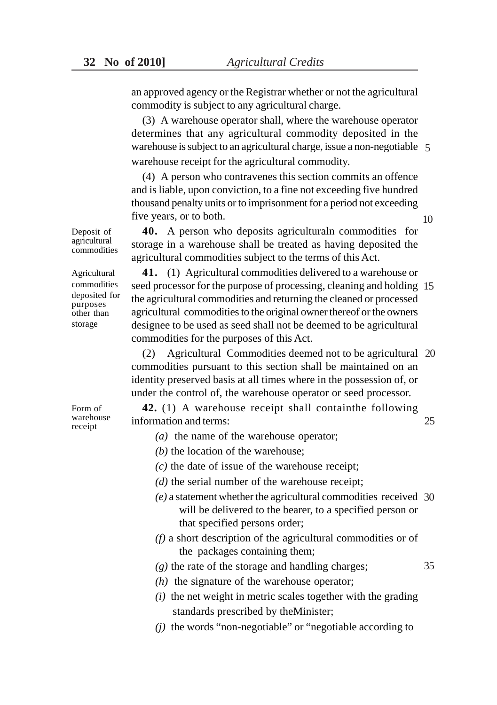an approved agency or the Registrar whether or not the agricultural commodity is subject to any agricultural charge.

(3) A warehouse operator shall, where the warehouse operator determines that any agricultural commodity deposited in the warehouse is subject to an agricultural charge, issue a non-negotiable 5 warehouse receipt for the agricultural commodity.

(4) A person who contravenes this section commits an offence and is liable, upon conviction, to a fine not exceeding five hundred thousand penalty units or to imprisonment for a period not exceeding five years, or to both.

**40.** A person who deposits agriculturaln commodities for storage in a warehouse shall be treated as having deposited the agricultural commodities subject to the terms of this Act.

**41.** (1) Agricultural commodities delivered to a warehouse or seed processor for the purpose of processing, cleaning and holding 15 the agricultural commodities and returning the cleaned or processed agricultural commodities to the original owner thereof or the owners designee to be used as seed shall not be deemed to be agricultural commodities for the purposes of this Act.

(2) Agricultural Commodities deemed not to be agricultural 20 commodities pursuant to this section shall be maintained on an identity preserved basis at all times where in the possession of, or under the control of, the warehouse operator or seed processor.

**42.** (1) A warehouse receipt shall containthe following information and terms:

- *(a)* the name of the warehouse operator;
- *(b)* the location of the warehouse;
- *(c)* the date of issue of the warehouse receipt;
- *(d)* the serial number of the warehouse receipt;
- *(e)* a statement whether the agricultural commodities received 30 will be delivered to the bearer, to a specified person or that specified persons order;
- *(f)* a short description of the agricultural commodities or of the packages containing them;

*(g)* the rate of the storage and handling charges;

- *(h)* the signature of the warehouse operator;
- *(i)* the net weight in metric scales together with the grading standards prescribed by theMinister;
- *(j)* the words "non-negotiable" or "negotiable according to

Agricultural commodities

Deposit of agricultural commodities

deposited for purposes other than storage

Form of warehouse receipt

25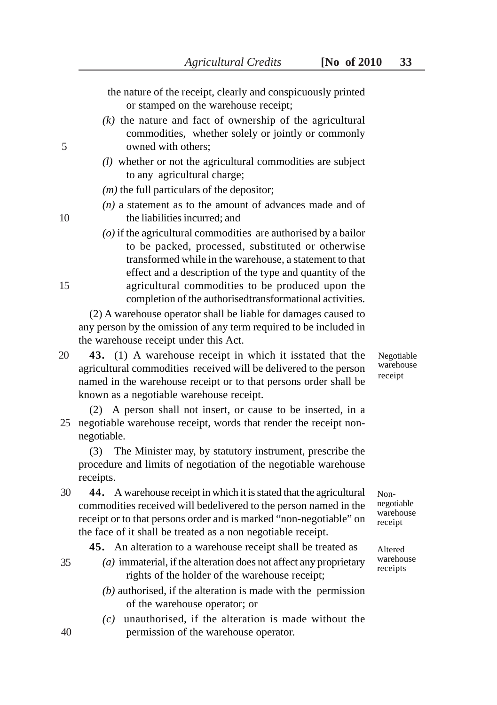the nature of the receipt, clearly and conspicuously printed or stamped on the warehouse receipt;

- *(k)* the nature and fact of ownership of the agricultural commodities, whether solely or jointly or commonly owned with others;
- *(l)* whether or not the agricultural commodities are subject to any agricultural charge;

*(m)* the full particulars of the depositor;

- *(n)* a statement as to the amount of advances made and of the liabilities incurred; and
- *(o)* if the agricultural commodities are authorised by a bailor to be packed, processed, substituted or otherwise transformed while in the warehouse, a statement to that effect and a description of the type and quantity of the agricultural commodities to be produced upon the completion of the authorisedtransformational activities.

(2) A warehouse operator shall be liable for damages caused to any person by the omission of any term required to be included in the warehouse receipt under this Act.

**43.** (1) A warehouse receipt in which it isstated that the agricultural commodities received will be delivered to the person named in the warehouse receipt or to that persons order shall be known as a negotiable warehouse receipt. 20

(2) A person shall not insert, or cause to be inserted, in a negotiable warehouse receipt, words that render the receipt non-25 negotiable.

(3) The Minister may, by statutory instrument, prescribe the procedure and limits of negotiation of the negotiable warehouse receipts.

**44.** A warehouse receipt in which it is stated that the agricultural commodities received will bedelivered to the person named in the receipt or to that persons order and is marked "non-negotiable" on the face of it shall be treated as a non negotiable receipt. 30

**45.** An alteration to a warehouse receipt shall be treated as

- *(a)* immaterial, if the alteration does not affect any proprietary rights of the holder of the warehouse receipt;
	- *(b)* authorised, if the alteration is made with the permission of the warehouse operator; or
	- *(c)* unauthorised, if the alteration is made without the permission of the warehouse operator.

Negotiable warehouse receipt

Nonnegotiable warehouse receipt

Altered warehouse receipts

5

10

15

40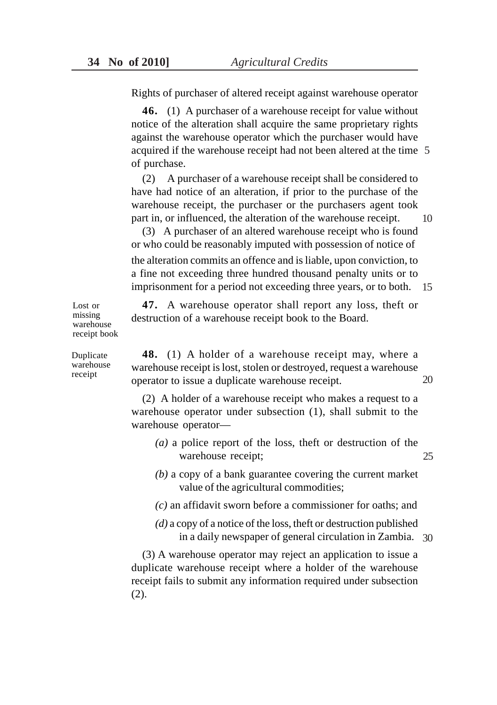Rights of purchaser of altered receipt against warehouse operator

**46.** (1) A purchaser of a warehouse receipt for value without notice of the alteration shall acquire the same proprietary rights against the warehouse operator which the purchaser would have acquired if the warehouse receipt had not been altered at the time 5 of purchase.

(2) A purchaser of a warehouse receipt shall be considered to have had notice of an alteration, if prior to the purchase of the warehouse receipt, the purchaser or the purchasers agent took part in, or influenced, the alteration of the warehouse receipt. 10

(3) A purchaser of an altered warehouse receipt who is found or who could be reasonably imputed with possession of notice of the alteration commits an offence and is liable, upon conviction, to a fine not exceeding three hundred thousand penalty units or to imprisonment for a period not exceeding three years, or to both. 15

**47.** A warehouse operator shall report any loss, theft or destruction of a warehouse receipt book to the Board.

Lost or missing warehouse receipt book

Duplicate warehouse receipt

**48.** (1) A holder of a warehouse receipt may, where a warehouse receipt is lost, stolen or destroyed, request a warehouse operator to issue a duplicate warehouse receipt. 20

(2) A holder of a warehouse receipt who makes a request to a warehouse operator under subsection (1), shall submit to the warehouse operator—

- *(a)* a police report of the loss, theft or destruction of the warehouse receipt; 25
- *(b)* a copy of a bank guarantee covering the current market value of the agricultural commodities;
- *(c)* an affidavit sworn before a commissioner for oaths; and
- *(d)* a copy of a notice of the loss, theft or destruction published in a daily newspaper of general circulation in Zambia. 30

(3) A warehouse operator may reject an application to issue a duplicate warehouse receipt where a holder of the warehouse receipt fails to submit any information required under subsection (2).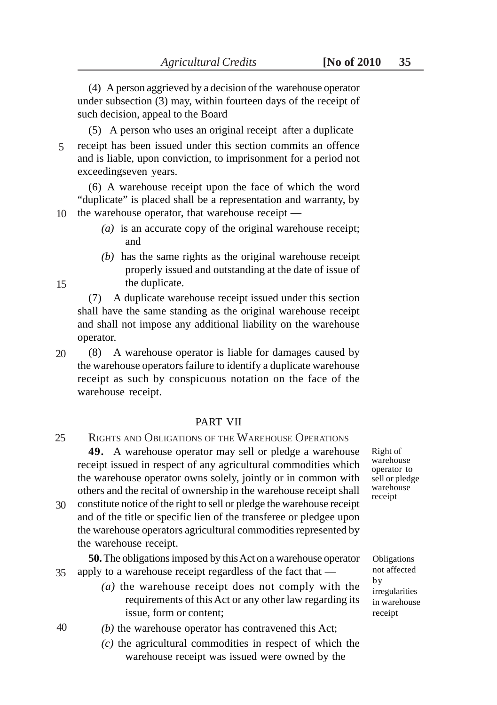(4) A person aggrieved by a decision of the warehouse operator under subsection (3) may, within fourteen days of the receipt of such decision, appeal to the Board

(5) A person who uses an original receipt after a duplicate receipt has been issued under this section commits an offence

5

and is liable, upon conviction, to imprisonment for a period not exceedingseven years.

(6) A warehouse receipt upon the face of which the word "duplicate" is placed shall be a representation and warranty, by the warehouse operator, that warehouse receipt — 10

- *(a)* is an accurate copy of the original warehouse receipt; and
- *(b)* has the same rights as the original warehouse receipt properly issued and outstanding at the date of issue of the duplicate.

(7) A duplicate warehouse receipt issued under this section shall have the same standing as the original warehouse receipt and shall not impose any additional liability on the warehouse operator.

(8) A warehouse operator is liable for damages caused by the warehouse operators failure to identify a duplicate warehouse receipt as such by conspicuous notation on the face of the warehouse receipt. 20

## PART VII

- RIGHTS AND OBLIGATIONS OF THE WAREHOUSE OPERATIONS **49.** A warehouse operator may sell or pledge a warehouse receipt issued in respect of any agricultural commodities which the warehouse operator owns solely, jointly or in common with others and the recital of ownership in the warehouse receipt shall constitute notice of the right to sell or pledge the warehouse receipt 25 30
- and of the title or specific lien of the transferee or pledgee upon the warehouse operators agricultural commodities represented by the warehouse receipt.

**50.** The obligations imposed by this Act on a warehouse operator apply to a warehouse receipt regardless of the fact that — 35

- *(a)* the warehouse receipt does not comply with the requirements of this Act or any other law regarding its issue, form or content;
- *(b)* the warehouse operator has contravened this Act;
	- *(c)* the agricultural commodities in respect of which the warehouse receipt was issued were owned by the

Right of warehouse operator to sell or pledge warehouse receipt

Obligations not affected by irregularities in warehouse receipt

15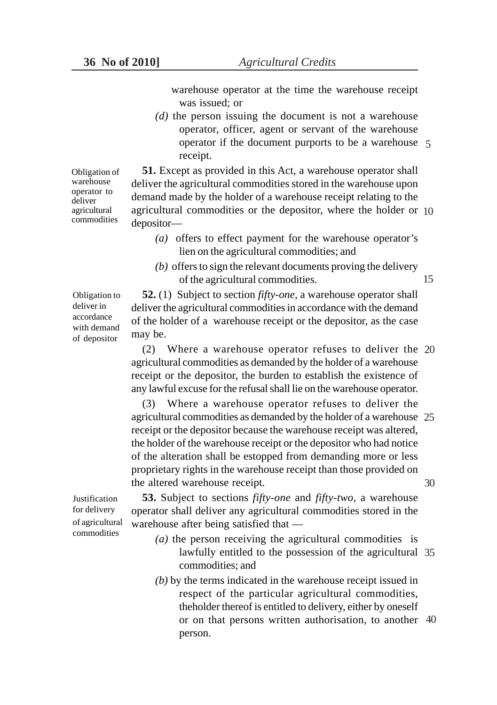warehouse operator at the time the warehouse receipt was issued; or

*(d)* the person issuing the document is not a warehouse operator, officer, agent or servant of the warehouse operator if the document purports to be a warehouse 5 receipt.

Obligation of warehouse operator to deliver agricultural commodities

**51.** Except as provided in this Act, a warehouse operator shall deliver the agricultural commodities stored in the warehouse upon demand made by the holder of a warehouse receipt relating to the agricultural commodities or the depositor, where the holder or 10 depositor—

- *(a)* offers to effect payment for the warehouse operator's lien on the agricultural commodities; and
- *(b)* offers to sign the relevant documents proving the delivery of the agricultural commodities. 15

Obligation to deliver in accordance with demand of depositor

**52.** (1) Subject to section *fifty-one*, a warehouse operator shall deliver the agricultural commodities in accordance with the demand of the holder of a warehouse receipt or the depositor, as the case may be.

(2) Where a warehouse operator refuses to deliver the 20 agricultural commodities as demanded by the holder of a warehouse receipt or the depositor, the burden to establish the existence of any lawful excuse for the refusal shall lie on the warehouse operator.

(3) Where a warehouse operator refuses to deliver the agricultural commodities as demanded by the holder of a warehouse 25 receipt or the depositor because the warehouse receipt was altered, the holder of the warehouse receipt or the depositor who had notice of the alteration shall be estopped from demanding more or less proprietary rights in the warehouse receipt than those provided on the altered warehouse receipt. 30

Justification for delivery of agricultural commodities

**53.** Subject to sections *fifty-one* and *fifty-two,* a warehouse operator shall deliver any agricultural commodities stored in the warehouse after being satisfied that —

- *(a)* the person receiving the agricultural commodities is lawfully entitled to the possession of the agricultural 35 commodities; and
- *(b)* by the terms indicated in the warehouse receipt issued in respect of the particular agricultural commodities, theholder thereof is entitled to delivery, either by oneself or on that persons written authorisation, to another 40person.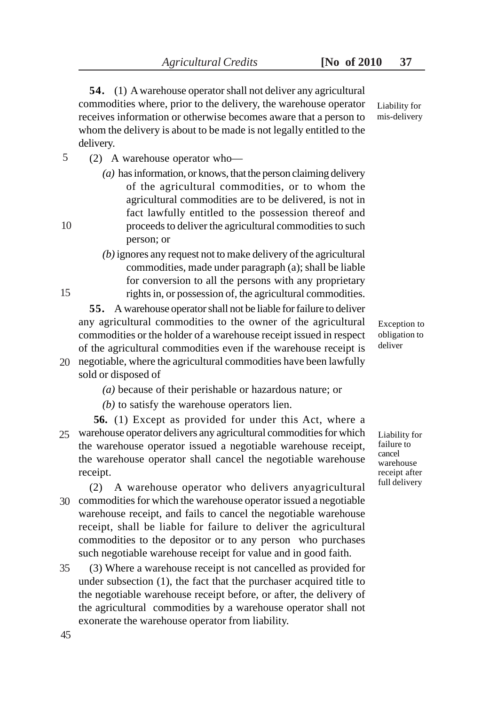**54.** (1) A warehouse operator shall not deliver any agricultural commodities where, prior to the delivery, the warehouse operator receives information or otherwise becomes aware that a person to whom the delivery is about to be made is not legally entitled to the delivery. Liability for mis-delivery

- (2) A warehouse operator who— 5
	- *(a)* has information, or knows, that the person claiming delivery of the agricultural commodities, or to whom the agricultural commodities are to be delivered, is not in fact lawfully entitled to the possession thereof and proceeds to deliver the agricultural commodities to such person; or
	- *(b)* ignores any request not to make delivery of the agricultural commodities, made under paragraph (a); shall be liable for conversion to all the persons with any proprietary rights in, or possession of, the agricultural commodities.

**55.** A warehouse operator shall not be liable for failure to deliver any agricultural commodities to the owner of the agricultural commodities or the holder of a warehouse receipt issued in respect of the agricultural commodities even if the warehouse receipt is negotiable, where the agricultural commodities have been lawfully 20

sold or disposed of

*(a)* because of their perishable or hazardous nature; or

*(b)* to satisfy the warehouse operators lien.

**56.** (1) Except as provided for under this Act, where a warehouse operator delivers any agricultural commodities for which 25 the warehouse operator issued a negotiable warehouse receipt, the warehouse operator shall cancel the negotiable warehouse receipt.

(2) A warehouse operator who delivers anyagricultural commodities for which the warehouse operator issued a negotiable 30 warehouse receipt, and fails to cancel the negotiable warehouse receipt, shall be liable for failure to deliver the agricultural commodities to the depositor or to any person who purchases such negotiable warehouse receipt for value and in good faith.

(3) Where a warehouse receipt is not cancelled as provided for under subsection (1), the fact that the purchaser acquired title to the negotiable warehouse receipt before, or after, the delivery of the agricultural commodities by a warehouse operator shall not exonerate the warehouse operator from liability. 35

Exception to obligation to deliver

Liability for failure to cancel warehouse receipt after full delivery

10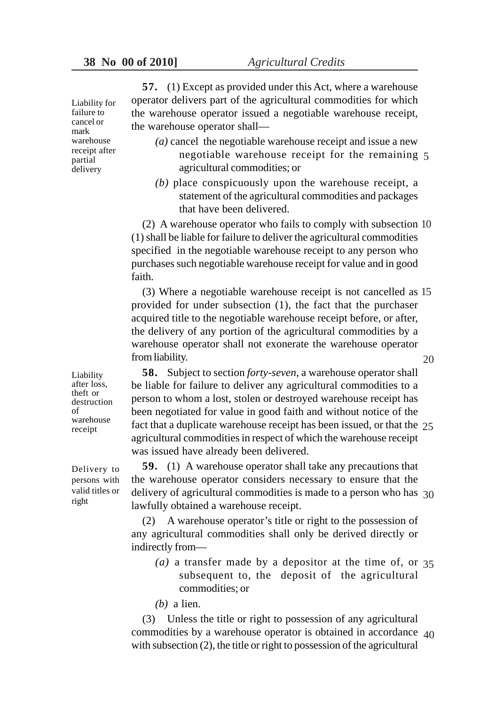Liability for failure to cancel or mark warehouse receipt after partial delivery

**57.** (1) Except as provided under this Act, where a warehouse operator delivers part of the agricultural commodities for which the warehouse operator issued a negotiable warehouse receipt, the warehouse operator shall—

- *(a)* cancel the negotiable warehouse receipt and issue a new negotiable warehouse receipt for the remaining 5 agricultural commodities; or
- *(b)* place conspicuously upon the warehouse receipt, a statement of the agricultural commodities and packages that have been delivered.

(2) A warehouse operator who fails to comply with subsection 10 (1) shall be liable for failure to deliver the agricultural commodities specified in the negotiable warehouse receipt to any person who purchases such negotiable warehouse receipt for value and in good faith.

(3) Where a negotiable warehouse receipt is not cancelled as 15 provided for under subsection (1), the fact that the purchaser acquired title to the negotiable warehouse receipt before, or after, the delivery of any portion of the agricultural commodities by a warehouse operator shall not exonerate the warehouse operator from liability. 20

**58.** Subject to section *forty-seven*, a warehouse operator shall be liable for failure to deliver any agricultural commodities to a person to whom a lost, stolen or destroyed warehouse receipt has been negotiated for value in good faith and without notice of the fact that a duplicate warehouse receipt has been issued, or that the 25 agricultural commodities in respect of which the warehouse receipt was issued have already been delivered.

**59.** (1) A warehouse operator shall take any precautions that the warehouse operator considers necessary to ensure that the delivery of agricultural commodities is made to a person who has 30 lawfully obtained a warehouse receipt.

(2) A warehouse operator's title or right to the possession of any agricultural commodities shall only be derived directly or indirectly from—

*(a)* a transfer made by a depositor at the time of, or 35 subsequent to, the deposit of the agricultural commodities; or

*(b)* a lien.

(3) Unless the title or right to possession of any agricultural commodities by a warehouse operator is obtained in accordance 40 with subsection (2), the title or right to possession of the agricultural

Liability after loss, theft or destruction of warehouse receipt

Delivery to persons with valid titles or right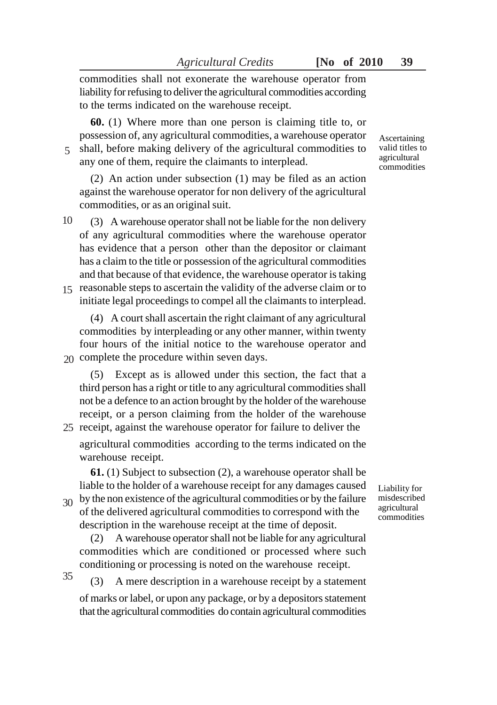commodities shall not exonerate the warehouse operator from liability for refusing to deliver the agricultural commodities according to the terms indicated on the warehouse receipt.

**60.** (1) Where more than one person is claiming title to, or possession of, any agricultural commodities, a warehouse operator

shall, before making delivery of the agricultural commodities to any one of them, require the claimants to interplead. 5

(2) An action under subsection (1) may be filed as an action against the warehouse operator for non delivery of the agricultural commodities, or as an original suit.

(3) A warehouse operator shall not be liable for the non delivery of any agricultural commodities where the warehouse operator has evidence that a person other than the depositor or claimant has a claim to the title or possession of the agricultural commodities and that because of that evidence, the warehouse operator is taking 15 reasonable steps to ascertain the validity of the adverse claim or to initiate legal proceedings to compel all the claimants to interplead. 10

(4) A court shall ascertain the right claimant of any agricultural commodities by interpleading or any other manner, within twenty four hours of the initial notice to the warehouse operator and 20 complete the procedure within seven days.

(5) Except as is allowed under this section, the fact that a third person has a right or title to any agricultural commodities shall not be a defence to an action brought by the holder of the warehouse receipt, or a person claiming from the holder of the warehouse 25 receipt, against the warehouse operator for failure to deliver the

agricultural commodities according to the terms indicated on the warehouse receipt.

**61.** (1) Subject to subsection (2), a warehouse operator shall be liable to the holder of a warehouse receipt for any damages caused

 $30<sup>o</sup>$  by the non existence of the agricultural commodities or by the failure of the delivered agricultural commodities to correspond with the description in the warehouse receipt at the time of deposit.

(2) A warehouse operator shall not be liable for any agricultural commodities which are conditioned or processed where such conditioning or processing is noted on the warehouse receipt.

(3) A mere description in a warehouse receipt by a statement of marks or label, or upon any package, or by a depositors statement that the agricultural commodities do contain agricultural commodities 35

Liability for misdescribed agricultural commodities

Ascertaining valid titles to agricultural commodities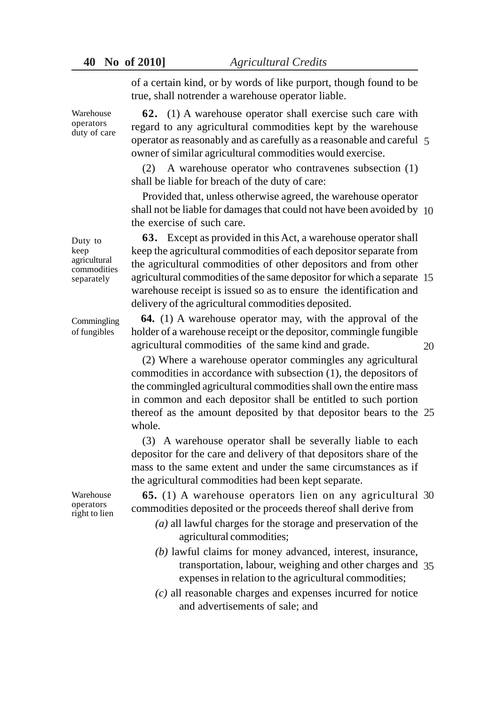**40 No of 2010]** *Agricultural Credits*

of a certain kind, or by words of like purport, though found to be true, shall notrender a warehouse operator liable.

**62.** (1) A warehouse operator shall exercise such care with regard to any agricultural commodities kept by the warehouse operator as reasonably and as carefully as a reasonable and careful 5 owner of similar agricultural commodities would exercise.

(2) A warehouse operator who contravenes subsection (1) shall be liable for breach of the duty of care:

Provided that, unless otherwise agreed, the warehouse operator shall not be liable for damages that could not have been avoided by 10 the exercise of such care.

**63.** Except as provided in this Act, a warehouse operator shall keep the agricultural commodities of each depositor separate from the agricultural commodities of other depositors and from other agricultural commodities of the same depositor for which a separate 15 warehouse receipt is issued so as to ensure the identification and delivery of the agricultural commodities deposited.

**64.** (1) A warehouse operator may, with the approval of the holder of a warehouse receipt or the depositor, commingle fungible agricultural commodities of the same kind and grade.

20

(2) Where a warehouse operator commingles any agricultural commodities in accordance with subsection (1), the depositors of the commingled agricultural commodities shall own the entire mass in common and each depositor shall be entitled to such portion thereof as the amount deposited by that depositor bears to the 25 whole.

(3) A warehouse operator shall be severally liable to each depositor for the care and delivery of that depositors share of the mass to the same extent and under the same circumstances as if the agricultural commodities had been kept separate.

**65.** (1) A warehouse operators lien on any agricultural 30 commodities deposited or the proceeds thereof shall derive from

- *(a)* all lawful charges for the storage and preservation of the agricultural commodities;
- *(b)* lawful claims for money advanced, interest, insurance, transportation, labour, weighing and other charges and 35expenses in relation to the agricultural commodities;
- *(c)* all reasonable charges and expenses incurred for notice and advertisements of sale; and

Duty to keep agricultural commodities separately

Warehouse operators duty of care

Commingling of fungibles

Warehouse operators right to lien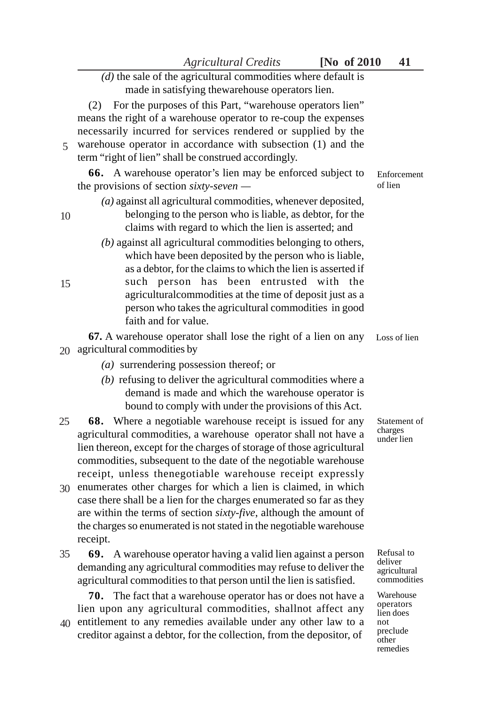# *(d)* the sale of the agricultural commodities where default is made in satisfying thewarehouse operators lien.

(2) For the purposes of this Part, "warehouse operators lien" means the right of a warehouse operator to re-coup the expenses necessarily incurred for services rendered or supplied by the warehouse operator in accordance with subsection (1) and the term "right of lien" shall be construed accordingly. 5

**66.** A warehouse operator's lien may be enforced subject to the provisions of section *sixty-seven —*

*(a)* against all agricultural commodities, whenever deposited,

# belonging to the person who is liable, as debtor, for the claims with regard to which the lien is asserted; and

*(b)* against all agricultural commodities belonging to others, which have been deposited by the person who is liable, as a debtor, for the claims to which the lien is asserted if such person has been entrusted with the agriculturalcommodities at the time of deposit just as a person who takes the agricultural commodities in good faith and for value.

**67.** A warehouse operator shall lose the right of a lien on any agricultural commodities by 20

*(a)* surrendering possession thereof; or

10

15

- *(b)* refusing to deliver the agricultural commodities where a demand is made and which the warehouse operator is bound to comply with under the provisions of this Act.
- **68.** Where a negotiable warehouse receipt is issued for any agricultural commodities, a warehouse operator shall not have a lien thereon, except for the charges of storage of those agricultural commodities, subsequent to the date of the negotiable warehouse receipt, unless thenegotiable warehouse receipt expressly 25
- enumerates other charges for which a lien is claimed, in which 30 case there shall be a lien for the charges enumerated so far as they are within the terms of section *sixty-five*, although the amount of the charges so enumerated is not stated in the negotiable warehouse receipt.
- **69.** A warehouse operator having a valid lien against a person demanding any agricultural commodities may refuse to deliver the agricultural commodities to that person until the lien is satisfied. 35

**70.** The fact that a warehouse operator has or does not have a lien upon any agricultural commodities, shallnot affect any

entitlement to any remedies available under any other law to a 40creditor against a debtor, for the collection, from the depositor, of Enforcement of lien

Loss of lien

Statement of charges under lien

Refusal to deliver agricultural commodities

Warehouse operators lien does not preclude other remedies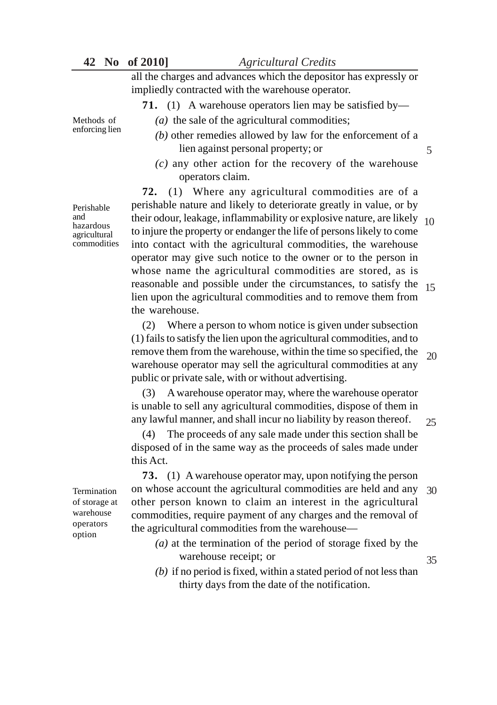**42 No of 2010]** *Agricultural Credits*

all the charges and advances which the depositor has expressly or impliedly contracted with the warehouse operator.

**71.** (1) A warehouse operators lien may be satisfied by—

Methods of enforcing lien

Perishable and hazardous agricultural commodities

- *(a)* the sale of the agricultural commodities;
- *(b)* other remedies allowed by law for the enforcement of a lien against personal property; or
- *(c)* any other action for the recovery of the warehouse operators claim.

**72.** (1) Where any agricultural commodities are of a perishable nature and likely to deteriorate greatly in value, or by their odour, leakage, inflammability or explosive nature, are likely 10 to injure the property or endanger the life of persons likely to come into contact with the agricultural commodities, the warehouse operator may give such notice to the owner or to the person in whose name the agricultural commodities are stored, as is reasonable and possible under the circumstances, to satisfy the 15 lien upon the agricultural commodities and to remove them from the warehouse.

(2) Where a person to whom notice is given under subsection (1) fails to satisfy the lien upon the agricultural commodities, and to remove them from the warehouse, within the time so specified, the warehouse operator may sell the agricultural commodities at any public or private sale, with or without advertising. 20

(3) A warehouse operator may, where the warehouse operator is unable to sell any agricultural commodities, dispose of them in any lawful manner, and shall incur no liability by reason thereof.

(4) The proceeds of any sale made under this section shall be disposed of in the same way as the proceeds of sales made under this Act.

**73.** (1) A warehouse operator may, upon notifying the person on whose account the agricultural commodities are held and any 30 other person known to claim an interest in the agricultural commodities, require payment of any charges and the removal of the agricultural commodities from the warehouse—

- *(a)* at the termination of the period of storage fixed by the warehouse receipt; or
- *(b)* if no period is fixed, within a stated period of not less than thirty days from the date of the notification.

Termination of storage at warehouse operators option

5

25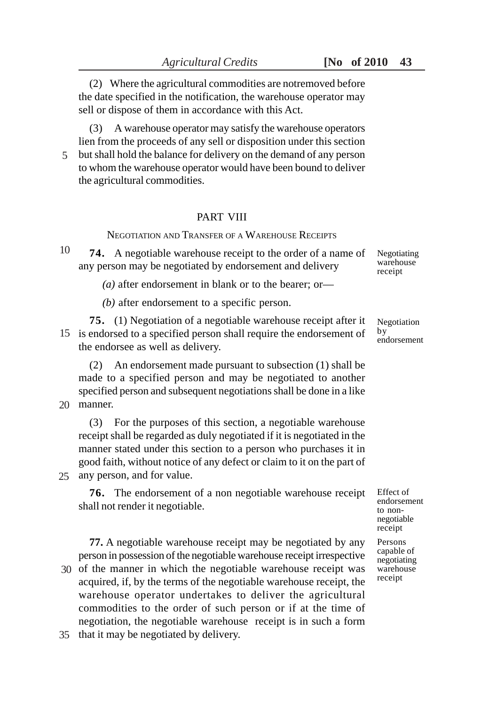(2) Where the agricultural commodities are notremoved before the date specified in the notification, the warehouse operator may sell or dispose of them in accordance with this Act.

(3) A warehouse operator may satisfy the warehouse operators lien from the proceeds of any sell or disposition under this section but shall hold the balance for delivery on the demand of any person to whom the warehouse operator would have been bound to deliver the agricultural commodities. 5

#### PART VIII

NEGOTIATION AND TRANSFER OF A WAREHOUSE RECEIPTS

**74.** A negotiable warehouse receipt to the order of a name of any person may be negotiated by endorsement and delivery Negotiating warehouse receipt 10

*(a)* after endorsement in blank or to the bearer; or—

*(b)* after endorsement to a specific person.

**75.** (1) Negotiation of a negotiable warehouse receipt after it 15 is endorsed to a specified person shall require the endorsement of the endorsee as well as delivery.

(2) An endorsement made pursuant to subsection (1) shall be made to a specified person and may be negotiated to another specified person and subsequent negotiations shall be done in a like

manner. 20

(3) For the purposes of this section, a negotiable warehouse receipt shall be regarded as duly negotiated if it is negotiated in the manner stated under this section to a person who purchases it in good faith, without notice of any defect or claim to it on the part of any person, and for value. 25

**76.** The endorsement of a non negotiable warehouse receipt shall not render it negotiable.

**77.** A negotiable warehouse receipt may be negotiated by any person in possession of the negotiable warehouse receipt irrespective 30 of the manner in which the negotiable warehouse receipt was acquired, if, by the terms of the negotiable warehouse receipt, the warehouse operator undertakes to deliver the agricultural commodities to the order of such person or if at the time of negotiation, the negotiable warehouse receipt is in such a form 35 that it may be negotiated by delivery.

Negotiation by endorsement

> Effect of endorsement to nonnegotiable receipt

Persons capable of negotiating warehouse receipt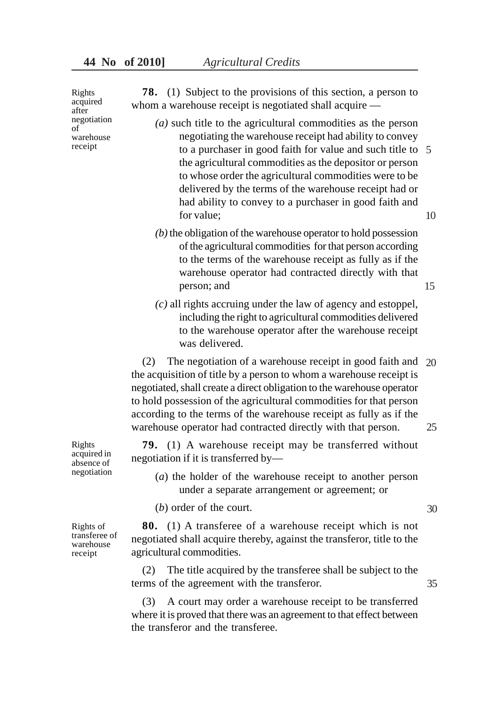Rights acquired after negotiation of warehouse receipt

**78.** (1) Subject to the provisions of this section, a person to whom a warehouse receipt is negotiated shall acquire —

- *(a)* such title to the agricultural commodities as the person negotiating the warehouse receipt had ability to convey to a purchaser in good faith for value and such title to 5the agricultural commodities as the depositor or person to whose order the agricultural commodities were to be delivered by the terms of the warehouse receipt had or had ability to convey to a purchaser in good faith and for value; 10
- *(b)* the obligation of the warehouse operator to hold possession of the agricultural commodities for that person according to the terms of the warehouse receipt as fully as if the warehouse operator had contracted directly with that person; and 15
- *(c)* all rights accruing under the law of agency and estoppel, including the right to agricultural commodities delivered to the warehouse operator after the warehouse receipt was delivered.

(2) The negotiation of a warehouse receipt in good faith and 20 the acquisition of title by a person to whom a warehouse receipt is negotiated, shall create a direct obligation to the warehouse operator to hold possession of the agricultural commodities for that person according to the terms of the warehouse receipt as fully as if the warehouse operator had contracted directly with that person. 25

**79.** (1) A warehouse receipt may be transferred without negotiation if it is transferred by—

- (*a*) the holder of the warehouse receipt to another person under a separate arrangement or agreement; or
- (*b*) order of the court.

**80.** (1) A transferee of a warehouse receipt which is not negotiated shall acquire thereby, against the transferor, title to the agricultural commodities.

(2) The title acquired by the transferee shall be subject to the terms of the agreement with the transferor.

(3) A court may order a warehouse receipt to be transferred where it is proved that there was an agreement to that effect between the transferor and the transferee.

Rights acquired in absence of negotiation

Rights of transferee of warehouse receipt

35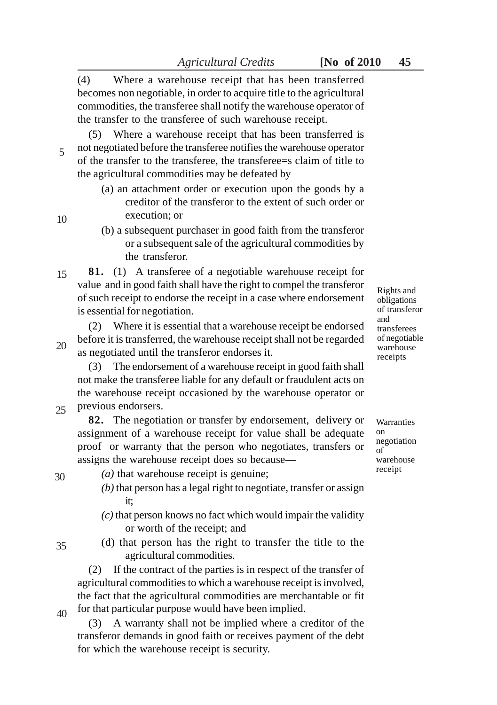(4) Where a warehouse receipt that has been transferred becomes non negotiable, in order to acquire title to the agricultural

commodities, the transferee shall notify the warehouse operator of the transfer to the transferee of such warehouse receipt.

(5) Where a warehouse receipt that has been transferred is not negotiated before the transferee notifies the warehouse operator of the transfer to the transferee, the transferee=s claim of title to the agricultural commodities may be defeated by 5

- (a) an attachment order or execution upon the goods by a creditor of the transferor to the extent of such order or execution; or
- (b) a subsequent purchaser in good faith from the transferor or a subsequent sale of the agricultural commodities by the transferor.

**81.** (1) A transferee of a negotiable warehouse receipt for value and in good faith shall have the right to compel the transferor of such receipt to endorse the receipt in a case where endorsement is essential for negotiation. 15

(2) Where it is essential that a warehouse receipt be endorsed before it is transferred, the warehouse receipt shall not be regarded as negotiated until the transferor endorses it. 20

(3) The endorsement of a warehouse receipt in good faith shall not make the transferee liable for any default or fraudulent acts on the warehouse receipt occasioned by the warehouse operator or previous endorsers.

**82.** The negotiation or transfer by endorsement, delivery or assignment of a warehouse receipt for value shall be adequate proof or warranty that the person who negotiates, transfers or assigns the warehouse receipt does so because—

- *(a)* that warehouse receipt is genuine;
- *(b)* that person has a legal right to negotiate, transfer or assign it;
- *(c)* that person knows no fact which would impair the validity or worth of the receipt; and
- (d) that person has the right to transfer the title to the agricultural commodities.

(2) If the contract of the parties is in respect of the transfer of agricultural commodities to which a warehouse receipt is involved, the fact that the agricultural commodities are merchantable or fit for that particular purpose would have been implied.

(3) A warranty shall not be implied where a creditor of the transferor demands in good faith or receives payment of the debt for which the warehouse receipt is security.

Rights and obligations of transferor and transferees of negotiable warehouse receipts

**Warranties** on negotiation of warehouse receipt

40

35

25

30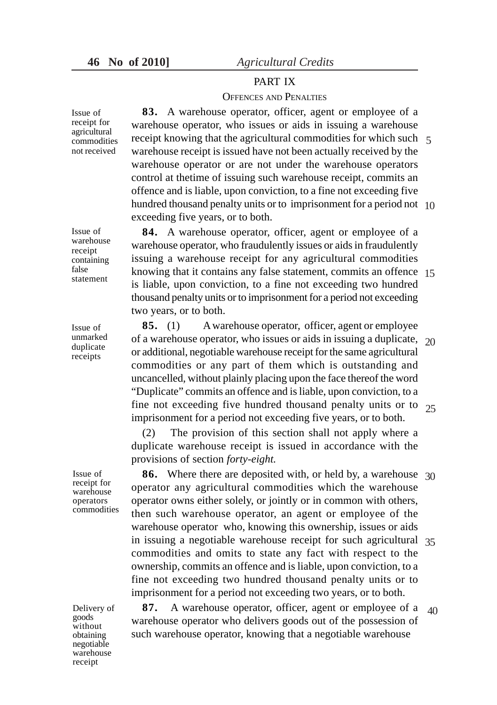# PART IX

#### OFFENCES AND PENALTIES

**83.** A warehouse operator, officer, agent or employee of a warehouse operator, who issues or aids in issuing a warehouse receipt knowing that the agricultural commodities for which such 5warehouse receipt is issued have not been actually received by the warehouse operator or are not under the warehouse operators control at thetime of issuing such warehouse receipt, commits an offence and is liable, upon conviction, to a fine not exceeding five hundred thousand penalty units or to imprisonment for a period not 10 exceeding five years, or to both.

**84.** A warehouse operator, officer, agent or employee of a warehouse operator, who fraudulently issues or aids in fraudulently issuing a warehouse receipt for any agricultural commodities knowing that it contains any false statement, commits an offence 15 is liable, upon conviction, to a fine not exceeding two hundred thousand penalty units or to imprisonment for a period not exceeding two years, or to both.

**85.** (1) A warehouse operator, officer, agent or employee of a warehouse operator, who issues or aids in issuing a duplicate,  $20$ or additional, negotiable warehouse receipt for the same agricultural commodities or any part of them which is outstanding and uncancelled, without plainly placing upon the face thereof the word "Duplicate" commits an offence and is liable, upon conviction, to a fine not exceeding five hundred thousand penalty units or to  $25$ imprisonment for a period not exceeding five years, or to both.

(2) The provision of this section shall not apply where a duplicate warehouse receipt is issued in accordance with the provisions of section *forty-eight.*

**86.** Where there are deposited with, or held by, a warehouse 30 operator any agricultural commodities which the warehouse operator owns either solely, or jointly or in common with others, then such warehouse operator, an agent or employee of the warehouse operator who, knowing this ownership, issues or aids in issuing a negotiable warehouse receipt for such agricultural 35 commodities and omits to state any fact with respect to the ownership, commits an offence and is liable, upon conviction, to a fine not exceeding two hundred thousand penalty units or to imprisonment for a period not exceeding two years, or to both.

**87.** A warehouse operator, officer, agent or employee of a warehouse operator who delivers goods out of the possession of such warehouse operator, knowing that a negotiable warehouse 40

receipt for agricultural commodities not received

Issue of

Issue of warehouse receipt containing false statement

Issue of unmarked duplicate receipts

Issue of receipt for warehouse operators commodities

Delivery of goods without obtaining negotiable warehouse receipt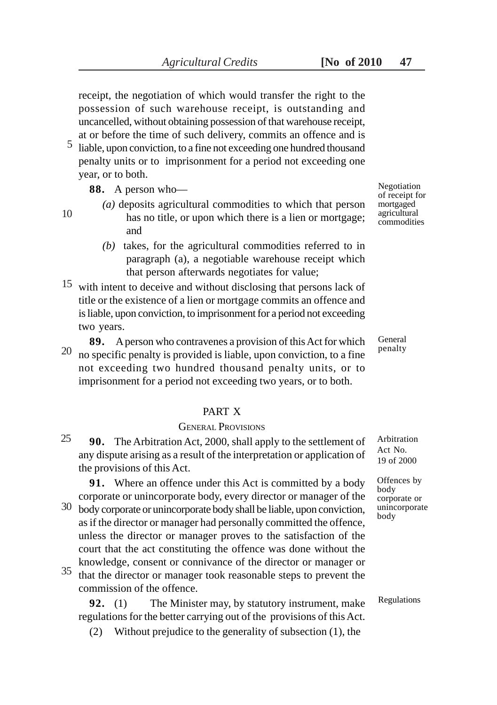receipt, the negotiation of which would transfer the right to the possession of such warehouse receipt, is outstanding and uncancelled, without obtaining possession of that warehouse receipt, at or before the time of such delivery, commits an offence and is

liable, upon conviction, to a fine not exceeding one hundred thousand penalty units or to imprisonment for a period not exceeding one year, or to both. 5

**88.** A person who—

10

- *(a)* deposits agricultural commodities to which that person has no title, or upon which there is a lien or mortgage; and
- *(b)* takes, for the agricultural commodities referred to in paragraph (a), a negotiable warehouse receipt which that person afterwards negotiates for value;
- $15$  with intent to deceive and without disclosing that persons lack of title or the existence of a lien or mortgage commits an offence and is liable, upon conviction, to imprisonment for a period not exceeding two years.
- **89.** A person who contravenes a provision of this Act for which no specific penalty is provided is liable, upon conviction, to a fine not exceeding two hundred thousand penalty units, or to imprisonment for a period not exceeding two years, or to both. 20

# PART X

#### GENERAL PROVISIONS

**90.** The Arbitration Act, 2000, shall apply to the settlement of any dispute arising as a result of the interpretation or application of the provisions of this Act. 25

**91.** Where an offence under this Act is committed by a body corporate or unincorporate body, every director or manager of the

- $30$  body corporate or unincorporate body shall be liable, upon conviction, as if the director or manager had personally committed the offence, unless the director or manager proves to the satisfaction of the court that the act constituting the offence was done without the knowledge, consent or connivance of the director or manager or
- that the director or manager took reasonable steps to prevent the commission of the offence. 35

**92.** (1) The Minister may, by statutory instrument, make regulations for the better carrying out of the provisions of this Act.

(2) Without prejudice to the generality of subsection (1), the

Negotiation of receipt for mortgaged agricultural commodities

General penalty

Arbitration Act No. 19 of 2000

Offences by body corporate or unincorporate body

Regulations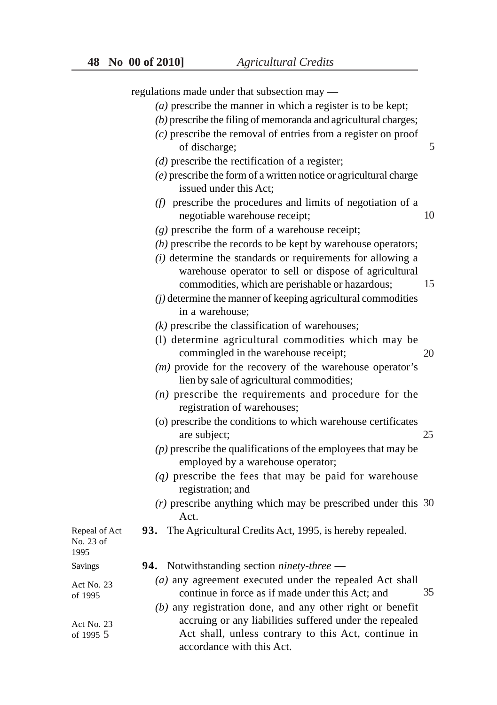|                                    | regulations made under that subsection may —                                                             |    |
|------------------------------------|----------------------------------------------------------------------------------------------------------|----|
|                                    | $(a)$ prescribe the manner in which a register is to be kept;                                            |    |
|                                    | $(b)$ prescribe the filing of memoranda and agricultural charges;                                        |    |
|                                    | $(c)$ prescribe the removal of entries from a register on proof                                          |    |
|                                    | of discharge;                                                                                            | 5  |
|                                    | $(d)$ prescribe the rectification of a register;                                                         |    |
|                                    | $(e)$ prescribe the form of a written notice or agricultural charge                                      |    |
|                                    | issued under this Act;                                                                                   |    |
|                                    | $(f)$ prescribe the procedures and limits of negotiation of a<br>negotiable warehouse receipt;           | 10 |
|                                    | $(g)$ prescribe the form of a warehouse receipt;                                                         |    |
|                                    | $(h)$ prescribe the records to be kept by warehouse operators;                                           |    |
|                                    | $(i)$ determine the standards or requirements for allowing a                                             |    |
|                                    | warehouse operator to sell or dispose of agricultural<br>commodities, which are perishable or hazardous; | 15 |
|                                    | $(j)$ determine the manner of keeping agricultural commodities<br>in a warehouse;                        |    |
|                                    | $(k)$ prescribe the classification of warehouses;                                                        |    |
|                                    | (1) determine agricultural commodities which may be<br>commingled in the warehouse receipt;              | 20 |
|                                    | $(m)$ provide for the recovery of the warehouse operator's<br>lien by sale of agricultural commodities;  |    |
|                                    | $(n)$ prescribe the requirements and procedure for the<br>registration of warehouses;                    |    |
|                                    | (o) prescribe the conditions to which warehouse certificates<br>are subject;                             | 25 |
|                                    | $(p)$ prescribe the qualifications of the employees that may be<br>employed by a warehouse operator;     |    |
|                                    | $(q)$ prescribe the fees that may be paid for warehouse<br>registration; and                             |    |
|                                    | $(r)$ prescribe anything which may be prescribed under this 30<br>Act.                                   |    |
| Repeal of Act<br>No. 23 of<br>1995 | 93. The Agricultural Credits Act, 1995, is hereby repealed.                                              |    |
| <b>Savings</b>                     | <b>94.</b> Notwithstanding section <i>ninety-three</i> —                                                 |    |
| Act No. 23                         | (a) any agreement executed under the repealed Act shall                                                  |    |
| of 1995                            | continue in force as if made under this Act; and                                                         | 35 |
|                                    | $(b)$ any registration done, and any other right or benefit                                              |    |
| Act No. 23                         | accruing or any liabilities suffered under the repealed                                                  |    |
| of 1995 5                          | Act shall, unless contrary to this Act, continue in<br>accordance with this Act.                         |    |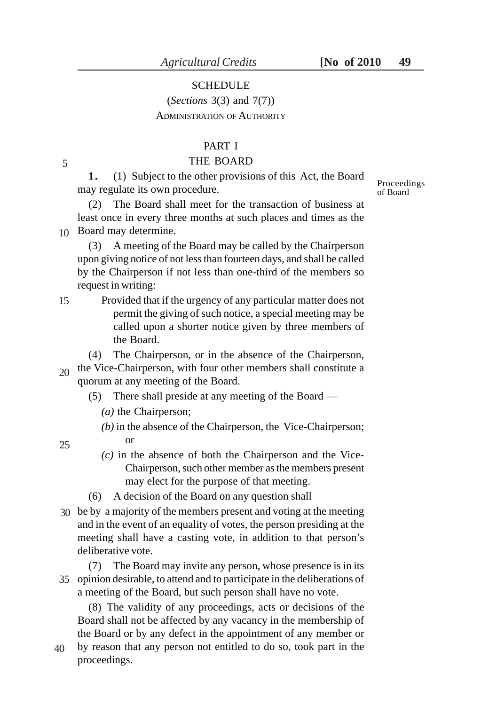# **SCHEDULE**

# (*Sections* 3(3) and 7(7)) ADMINISTRATION OF AUTHORITY

#### PART I

#### THE BOARD

**1.** (1) Subject to the other provisions of this Act, the Board may regulate its own procedure.

(2) The Board shall meet for the transaction of business at least once in every three months at such places and times as the Board may determine. 10

(3) A meeting of the Board may be called by the Chairperson upon giving notice of not less than fourteen days, and shall be called by the Chairperson if not less than one-third of the members so request in writing:

Provided that if the urgency of any particular matter does not permit the giving of such notice, a special meeting may be called upon a shorter notice given by three members of the Board. 15

(4) The Chairperson, or in the absence of the Chairperson,  $_{20}$  the Vice-Chairperson, with four other members shall constitute a quorum at any meeting of the Board.

- (5) There shall preside at any meeting of the Board
	- *(a)* the Chairperson;
	- *(b)* in the absence of the Chairperson, the Vice-Chairperson; or
	- *(c)* in the absence of both the Chairperson and the Vice-Chairperson, such other member as the members present may elect for the purpose of that meeting.
- (6) A decision of the Board on any question shall
- be by a majority of the members present and voting at the meeting 30 and in the event of an equality of votes, the person presiding at the meeting shall have a casting vote, in addition to that person's deliberative vote.

(7) The Board may invite any person, whose presence is in its opinion desirable, to attend and to participate in the deliberations of 35 a meeting of the Board, but such person shall have no vote.

(8) The validity of any proceedings, acts or decisions of the Board shall not be affected by any vacancy in the membership of the Board or by any defect in the appointment of any member or

by reason that any person not entitled to do so, took part in the proceedings. 40

Proceedings of Board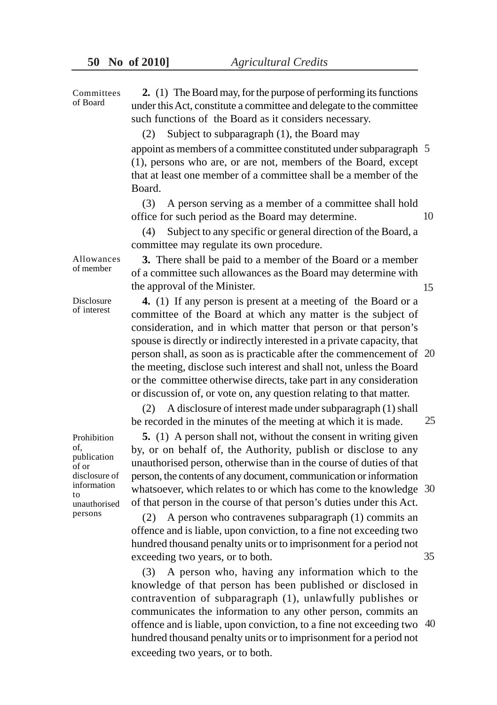**2.** (1) The Board may, for the purpose of performing its functions under this Act, constitute a committee and delegate to the committee such functions of the Board as it considers necessary. Committees of Board

(2) Subject to subparagraph (1), the Board may

appoint as members of a committee constituted under subparagraph 5(1), persons who are, or are not, members of the Board, except that at least one member of a committee shall be a member of the Board.

(3) A person serving as a member of a committee shall hold office for such period as the Board may determine. 10

(4) Subject to any specific or general direction of the Board, a committee may regulate its own procedure.

Allowances of member

**3.** There shall be paid to a member of the Board or a member of a committee such allowances as the Board may determine with the approval of the Minister.

15

25

35

Disclosure of interest

**4.** (1) If any person is present at a meeting of the Board or a committee of the Board at which any matter is the subject of consideration, and in which matter that person or that person's spouse is directly or indirectly interested in a private capacity, that person shall, as soon as is practicable after the commencement of 20 the meeting, disclose such interest and shall not, unless the Board or the committee otherwise directs, take part in any consideration or discussion of, or vote on, any question relating to that matter.

(2) A disclosure of interest made under subparagraph (1) shall be recorded in the minutes of the meeting at which it is made.

Prohibition of, publication of or disclosure of information to unauthorised persons

**5.** (1) A person shall not, without the consent in writing given by, or on behalf of, the Authority, publish or disclose to any unauthorised person, otherwise than in the course of duties of that person, the contents of any document, communication or information whatsoever, which relates to or which has come to the knowledge 30 of that person in the course of that person's duties under this Act.

(2) A person who contravenes subparagraph (1) commits an offence and is liable, upon conviction, to a fine not exceeding two hundred thousand penalty units or to imprisonment for a period not exceeding two years, or to both.

(3) A person who, having any information which to the knowledge of that person has been published or disclosed in contravention of subparagraph (1), unlawfully publishes or communicates the information to any other person, commits an offence and is liable, upon conviction, to a fine not exceeding two 40 hundred thousand penalty units or to imprisonment for a period not exceeding two years, or to both.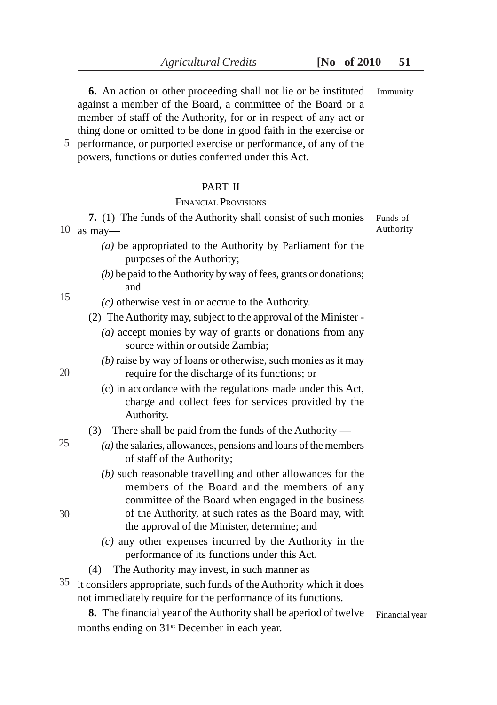**6.** An action or other proceeding shall not lie or be instituted against a member of the Board, a committee of the Board or a member of staff of the Authority, for or in respect of any act or Immunity

thing done or omitted to be done in good faith in the exercise or performance, or purported exercise or performance, of any of the 5 powers, functions or duties conferred under this Act.

### PART II

# FINANCIAL PROVISIONS

**7.** (1) The funds of the Authority shall consist of such monies 10 as may— Authority Funds of

- *(a)* be appropriated to the Authority by Parliament for the purposes of the Authority;
- *(b)* be paid to the Authority by way of fees, grants or donations; and

*(c)* otherwise vest in or accrue to the Authority.

(2) The Authority may, subject to the approval of the Minister -

- *(a)* accept monies by way of grants or donations from any source within or outside Zambia;
- *(b)* raise by way of loans or otherwise, such monies as it may require for the discharge of its functions; or
- (c) in accordance with the regulations made under this Act, charge and collect fees for services provided by the Authority.
- (3) There shall be paid from the funds of the Authority —
- *(a)* the salaries, allowances, pensions and loans of the members of staff of the Authority;
	- *(b)* such reasonable travelling and other allowances for the members of the Board and the members of any committee of the Board when engaged in the business of the Authority, at such rates as the Board may, with the approval of the Minister, determine; and
	- *(c)* any other expenses incurred by the Authority in the performance of its functions under this Act.
- (4) The Authority may invest, in such manner as
- $35$  it considers appropriate, such funds of the Authority which it does not immediately require for the performance of its functions.

**8.** The financial year of the Authority shall be aperiod of twelve months ending on 31<sup>st</sup> December in each year.

Financial year

20

25

30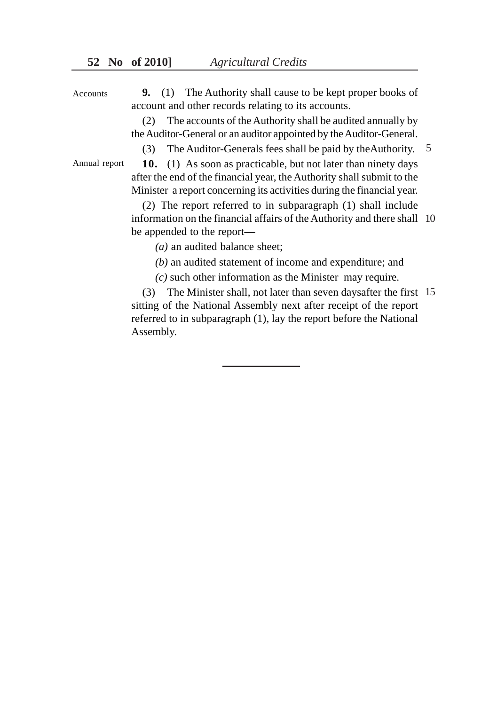**9.** (1) The Authority shall cause to be kept proper books of account and other records relating to its accounts. Accounts

> (2) The accounts of the Authority shall be audited annually by the Auditor-General or an auditor appointed by the Auditor-General.

(3) The Auditor-Generals fees shall be paid by theAuthority. 5

Annual report

**10.** (1) As soon as practicable, but not later than ninety days after the end of the financial year, the Authority shall submit to the Minister a report concerning its activities during the financial year.

(2) The report referred to in subparagraph (1) shall include information on the financial affairs of the Authority and there shall 10 be appended to the report—

*(a)* an audited balance sheet;

*(b)* an audited statement of income and expenditure; and

*(c)* such other information as the Minister may require.

(3) The Minister shall, not later than seven daysafter the first 15 sitting of the National Assembly next after receipt of the report referred to in subparagraph (1), lay the report before the National Assembly.